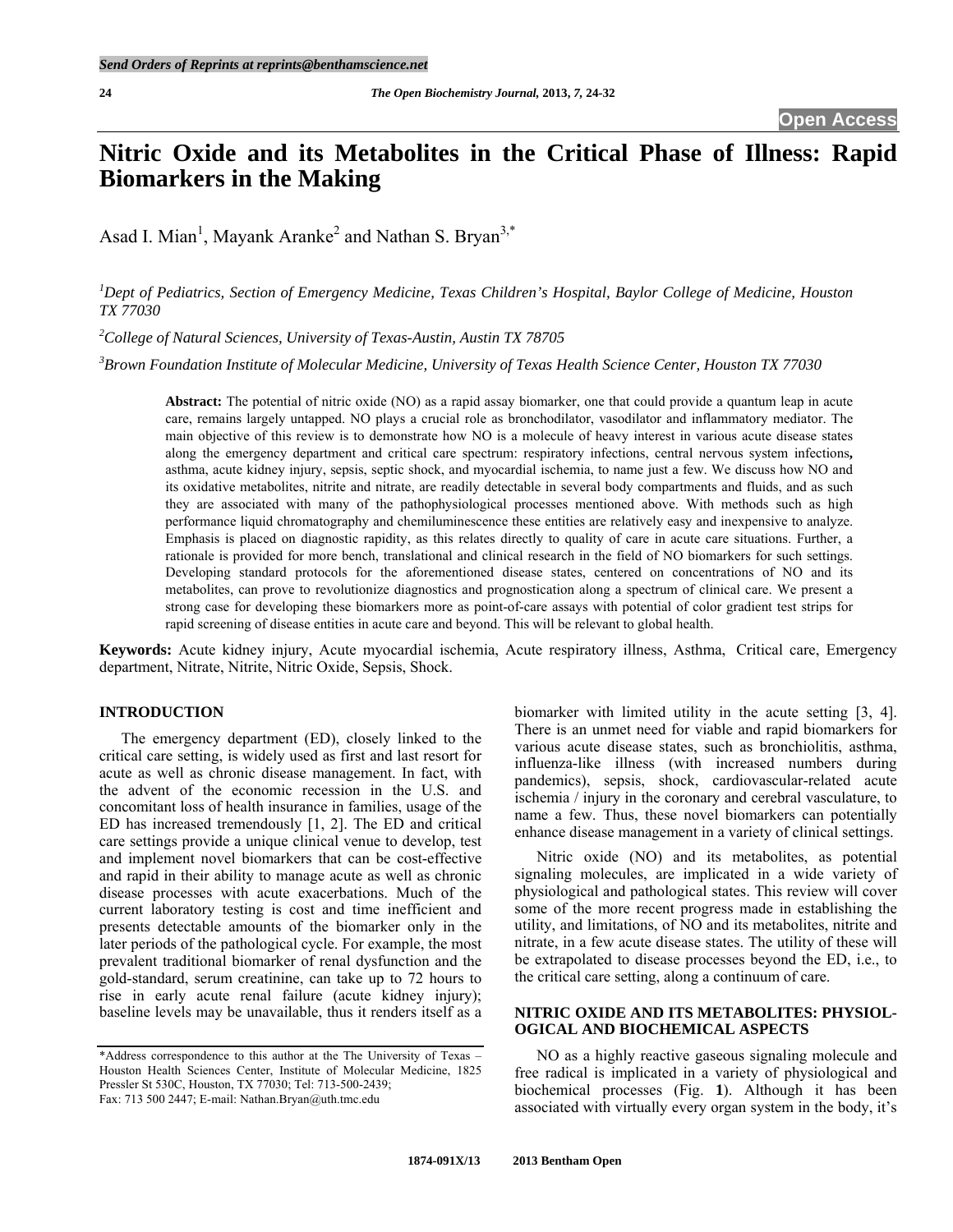# **Nitric Oxide and its Metabolites in the Critical Phase of Illness: Rapid Biomarkers in the Making**

Asad I. Mian<sup>1</sup>, Mayank Aranke<sup>2</sup> and Nathan S. Bryan<sup>3,\*</sup>

<sup>1</sup> Dept of Pediatrics, Section of Emergency Medicine, Texas Children's Hospital, Baylor College of Medicine, Houston *TX 77030* 

*2 College of Natural Sciences, University of Texas-Austin, Austin TX 78705* 

*3 Brown Foundation Institute of Molecular Medicine, University of Texas Health Science Center, Houston TX 77030* 

**Abstract:** The potential of nitric oxide (NO) as a rapid assay biomarker, one that could provide a quantum leap in acute care, remains largely untapped. NO plays a crucial role as bronchodilator, vasodilator and inflammatory mediator. The main objective of this review is to demonstrate how NO is a molecule of heavy interest in various acute disease states along the emergency department and critical care spectrum: respiratory infections, central nervous system infections**,**  asthma, acute kidney injury, sepsis, septic shock, and myocardial ischemia, to name just a few. We discuss how NO and its oxidative metabolites, nitrite and nitrate, are readily detectable in several body compartments and fluids, and as such they are associated with many of the pathophysiological processes mentioned above. With methods such as high performance liquid chromatography and chemiluminescence these entities are relatively easy and inexpensive to analyze. Emphasis is placed on diagnostic rapidity, as this relates directly to quality of care in acute care situations. Further, a rationale is provided for more bench, translational and clinical research in the field of NO biomarkers for such settings. Developing standard protocols for the aforementioned disease states, centered on concentrations of NO and its metabolites, can prove to revolutionize diagnostics and prognostication along a spectrum of clinical care. We present a strong case for developing these biomarkers more as point-of-care assays with potential of color gradient test strips for rapid screening of disease entities in acute care and beyond. This will be relevant to global health.

**Keywords:** Acute kidney injury, Acute myocardial ischemia, Acute respiratory illness, Asthma, Critical care, Emergency department, Nitrate, Nitrite, Nitric Oxide, Sepsis, Shock.

# **INTRODUCTION**

 The emergency department (ED), closely linked to the critical care setting, is widely used as first and last resort for acute as well as chronic disease management. In fact, with the advent of the economic recession in the U.S. and concomitant loss of health insurance in families, usage of the ED has increased tremendously [1, 2]. The ED and critical care settings provide a unique clinical venue to develop, test and implement novel biomarkers that can be cost-effective and rapid in their ability to manage acute as well as chronic disease processes with acute exacerbations. Much of the current laboratory testing is cost and time inefficient and presents detectable amounts of the biomarker only in the later periods of the pathological cycle. For example, the most prevalent traditional biomarker of renal dysfunction and the gold-standard, serum creatinine, can take up to 72 hours to rise in early acute renal failure (acute kidney injury); baseline levels may be unavailable, thus it renders itself as a

biomarker with limited utility in the acute setting [3, 4]. There is an unmet need for viable and rapid biomarkers for various acute disease states, such as bronchiolitis, asthma, influenza-like illness (with increased numbers during pandemics), sepsis, shock, cardiovascular-related acute ischemia / injury in the coronary and cerebral vasculature, to name a few. Thus, these novel biomarkers can potentially enhance disease management in a variety of clinical settings.

 Nitric oxide (NO) and its metabolites, as potential signaling molecules, are implicated in a wide variety of physiological and pathological states. This review will cover some of the more recent progress made in establishing the utility, and limitations, of NO and its metabolites, nitrite and nitrate, in a few acute disease states. The utility of these will be extrapolated to disease processes beyond the ED, i.e., to the critical care setting, along a continuum of care.

# **NITRIC OXIDE AND ITS METABOLITES: PHYSIOL-OGICAL AND BIOCHEMICAL ASPECTS**

 NO as a highly reactive gaseous signaling molecule and free radical is implicated in a variety of physiological and biochemical processes (Fig. **1**). Although it has been associated with virtually every organ system in the body, it's

<sup>\*</sup>Address correspondence to this author at the The University of Texas – Houston Health Sciences Center, Institute of Molecular Medicine, 1825 Pressler St 530C, Houston, TX 77030; Tel: 713-500-2439; Fax: 713 500 2447; E-mail: Nathan.Bryan@uth.tmc.edu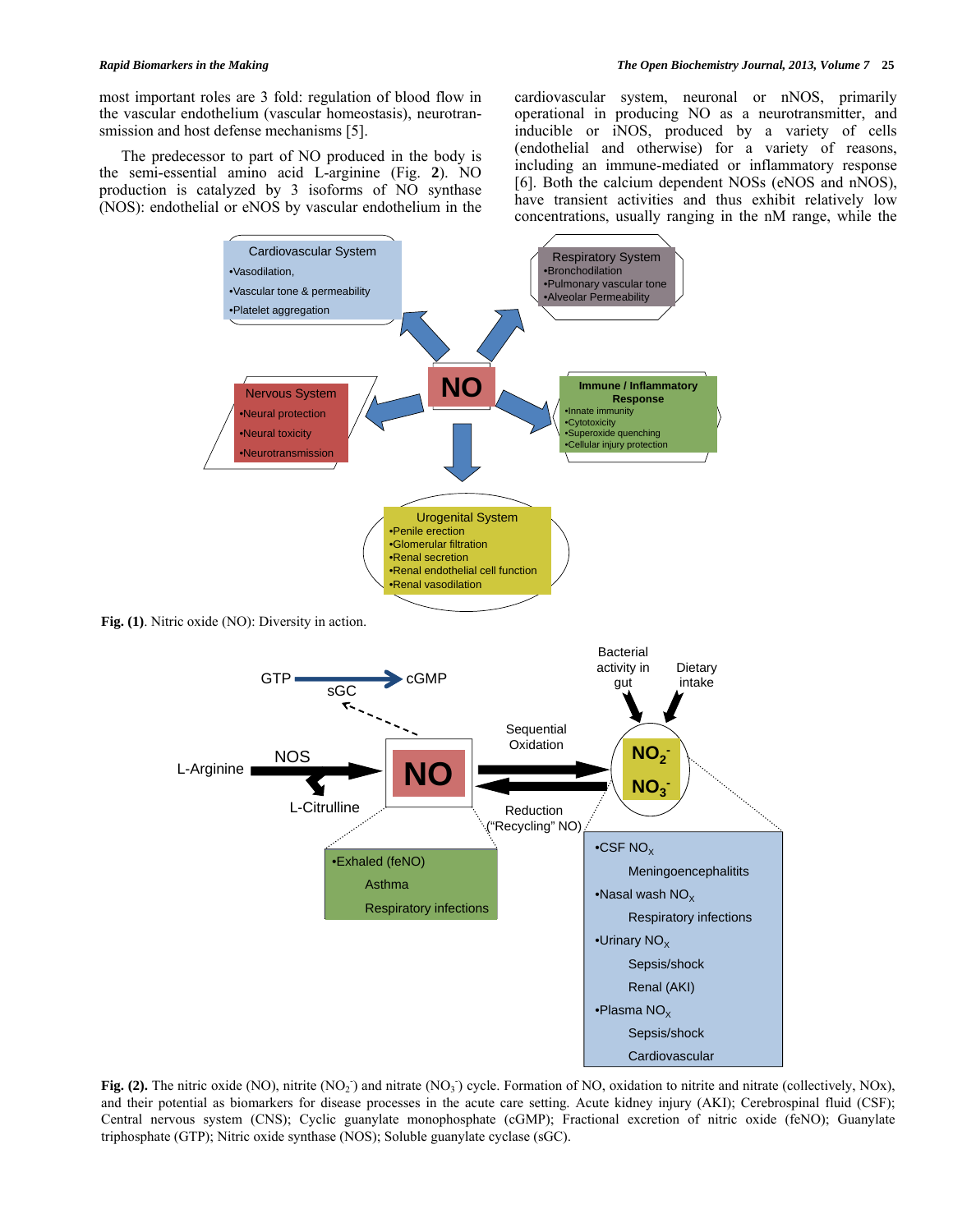most important roles are 3 fold: regulation of blood flow in the vascular endothelium (vascular homeostasis), neurotransmission and host defense mechanisms [5].

 The predecessor to part of NO produced in the body is the semi-essential amino acid L-arginine (Fig. **2**). NO production is catalyzed by 3 isoforms of NO synthase (NOS): endothelial or eNOS by vascular endothelium in the cardiovascular system, neuronal or nNOS, primarily operational in producing NO as a neurotransmitter, and inducible or iNOS, produced by a variety of cells (endothelial and otherwise) for a variety of reasons, including an immune-mediated or inflammatory response [6]. Both the calcium dependent NOSs (eNOS and nNOS), have transient activities and thus exhibit relatively low concentrations, usually ranging in the nM range, while the





Fig. (2). The nitric oxide (NO), nitrite (NO<sub>2</sub>) and nitrate (NO<sub>3</sub>) cycle. Formation of NO, oxidation to nitrite and nitrate (collectively, NOx), and their potential as biomarkers for disease processes in the acute care setting. Acute kidney injury (AKI); Cerebrospinal fluid (CSF); Central nervous system (CNS); Cyclic guanylate monophosphate (cGMP); Fractional excretion of nitric oxide (feNO); Guanylate triphosphate (GTP); Nitric oxide synthase (NOS); Soluble guanylate cyclase (sGC).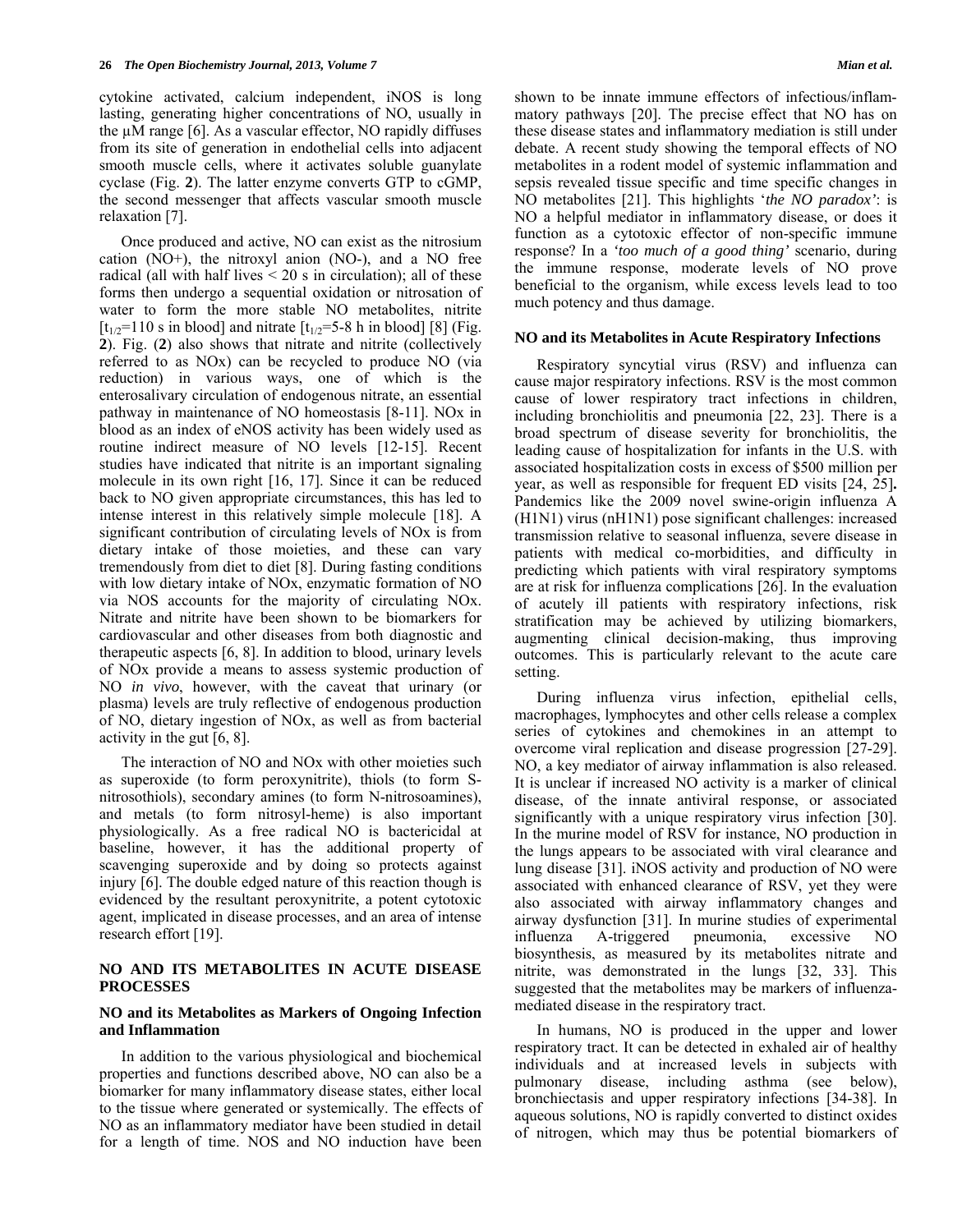cytokine activated, calcium independent, iNOS is long lasting, generating higher concentrations of NO, usually in the µM range [6]. As a vascular effector, NO rapidly diffuses from its site of generation in endothelial cells into adjacent smooth muscle cells, where it activates soluble guanylate cyclase (Fig. **2**). The latter enzyme converts GTP to cGMP, the second messenger that affects vascular smooth muscle relaxation [7].

 Once produced and active, NO can exist as the nitrosium cation  $(NO+)$ , the nitroxyl anion  $(NO-)$ , and a NO free radical (all with half lives  $\leq 20$  s in circulation); all of these forms then undergo a sequential oxidation or nitrosation of water to form the more stable NO metabolites, nitrite  $[t<sub>1/2</sub>=110$  s in blood] and nitrate  $[t<sub>1/2</sub>=5-8$  h in blood] [8] (Fig. **2**). Fig. (**2**) also shows that nitrate and nitrite (collectively referred to as NOx) can be recycled to produce NO (via reduction) in various ways, one of which is the enterosalivary circulation of endogenous nitrate, an essential pathway in maintenance of NO homeostasis [8-11]. NOx in blood as an index of eNOS activity has been widely used as routine indirect measure of NO levels [12-15]. Recent studies have indicated that nitrite is an important signaling molecule in its own right [16, 17]. Since it can be reduced back to NO given appropriate circumstances, this has led to intense interest in this relatively simple molecule [18]. A significant contribution of circulating levels of NOx is from dietary intake of those moieties, and these can vary tremendously from diet to diet [8]. During fasting conditions with low dietary intake of NOx, enzymatic formation of NO via NOS accounts for the majority of circulating NOx. Nitrate and nitrite have been shown to be biomarkers for cardiovascular and other diseases from both diagnostic and therapeutic aspects [6, 8]. In addition to blood, urinary levels of NOx provide a means to assess systemic production of NO *in vivo*, however, with the caveat that urinary (or plasma) levels are truly reflective of endogenous production of NO, dietary ingestion of NOx, as well as from bacterial activity in the gut [6, 8].

 The interaction of NO and NOx with other moieties such as superoxide (to form peroxynitrite), thiols (to form Snitrosothiols), secondary amines (to form N-nitrosoamines), and metals (to form nitrosyl-heme) is also important physiologically. As a free radical NO is bactericidal at baseline, however, it has the additional property of scavenging superoxide and by doing so protects against injury [6]. The double edged nature of this reaction though is evidenced by the resultant peroxynitrite, a potent cytotoxic agent, implicated in disease processes, and an area of intense research effort [19].

# **NO AND ITS METABOLITES IN ACUTE DISEASE PROCESSES**

# **NO and its Metabolites as Markers of Ongoing Infection and Inflammation**

 In addition to the various physiological and biochemical properties and functions described above, NO can also be a biomarker for many inflammatory disease states, either local to the tissue where generated or systemically. The effects of NO as an inflammatory mediator have been studied in detail for a length of time. NOS and NO induction have been

shown to be innate immune effectors of infectious/inflammatory pathways [20]. The precise effect that NO has on these disease states and inflammatory mediation is still under debate. A recent study showing the temporal effects of NO metabolites in a rodent model of systemic inflammation and sepsis revealed tissue specific and time specific changes in NO metabolites [21]. This highlights '*the NO paradox'*: is NO a helpful mediator in inflammatory disease, or does it function as a cytotoxic effector of non-specific immune response? In a *'too much of a good thing'* scenario, during the immune response, moderate levels of NO prove beneficial to the organism, while excess levels lead to too much potency and thus damage.

# **NO and its Metabolites in Acute Respiratory Infections**

 Respiratory syncytial virus (RSV) and influenza can cause major respiratory infections. RSV is the most common cause of lower respiratory tract infections in children, including bronchiolitis and pneumonia [22, 23]. There is a broad spectrum of disease severity for bronchiolitis, the leading cause of hospitalization for infants in the U.S. with associated hospitalization costs in excess of \$500 million per year, as well as responsible for frequent ED visits [24, 25]**.**  Pandemics like the 2009 novel swine-origin influenza A (H1N1) virus (nH1N1) pose significant challenges: increased transmission relative to seasonal influenza, severe disease in patients with medical co-morbidities, and difficulty in predicting which patients with viral respiratory symptoms are at risk for influenza complications [26]. In the evaluation of acutely ill patients with respiratory infections, risk stratification may be achieved by utilizing biomarkers, augmenting clinical decision-making, thus improving outcomes. This is particularly relevant to the acute care setting.

 During influenza virus infection, epithelial cells, macrophages, lymphocytes and other cells release a complex series of cytokines and chemokines in an attempt to overcome viral replication and disease progression [27-29]. NO, a key mediator of airway inflammation is also released. It is unclear if increased NO activity is a marker of clinical disease, of the innate antiviral response, or associated significantly with a unique respiratory virus infection [30]. In the murine model of RSV for instance, NO production in the lungs appears to be associated with viral clearance and lung disease [31]. iNOS activity and production of NO were associated with enhanced clearance of RSV, yet they were also associated with airway inflammatory changes and airway dysfunction [31]. In murine studies of experimental influenza A-triggered pneumonia, excessive NO biosynthesis, as measured by its metabolites nitrate and nitrite, was demonstrated in the lungs [32, 33]. This suggested that the metabolites may be markers of influenzamediated disease in the respiratory tract.

 In humans, NO is produced in the upper and lower respiratory tract. It can be detected in exhaled air of healthy individuals and at increased levels in subjects with pulmonary disease, including asthma (see below), bronchiectasis and upper respiratory infections [34-38]. In aqueous solutions, NO is rapidly converted to distinct oxides of nitrogen, which may thus be potential biomarkers of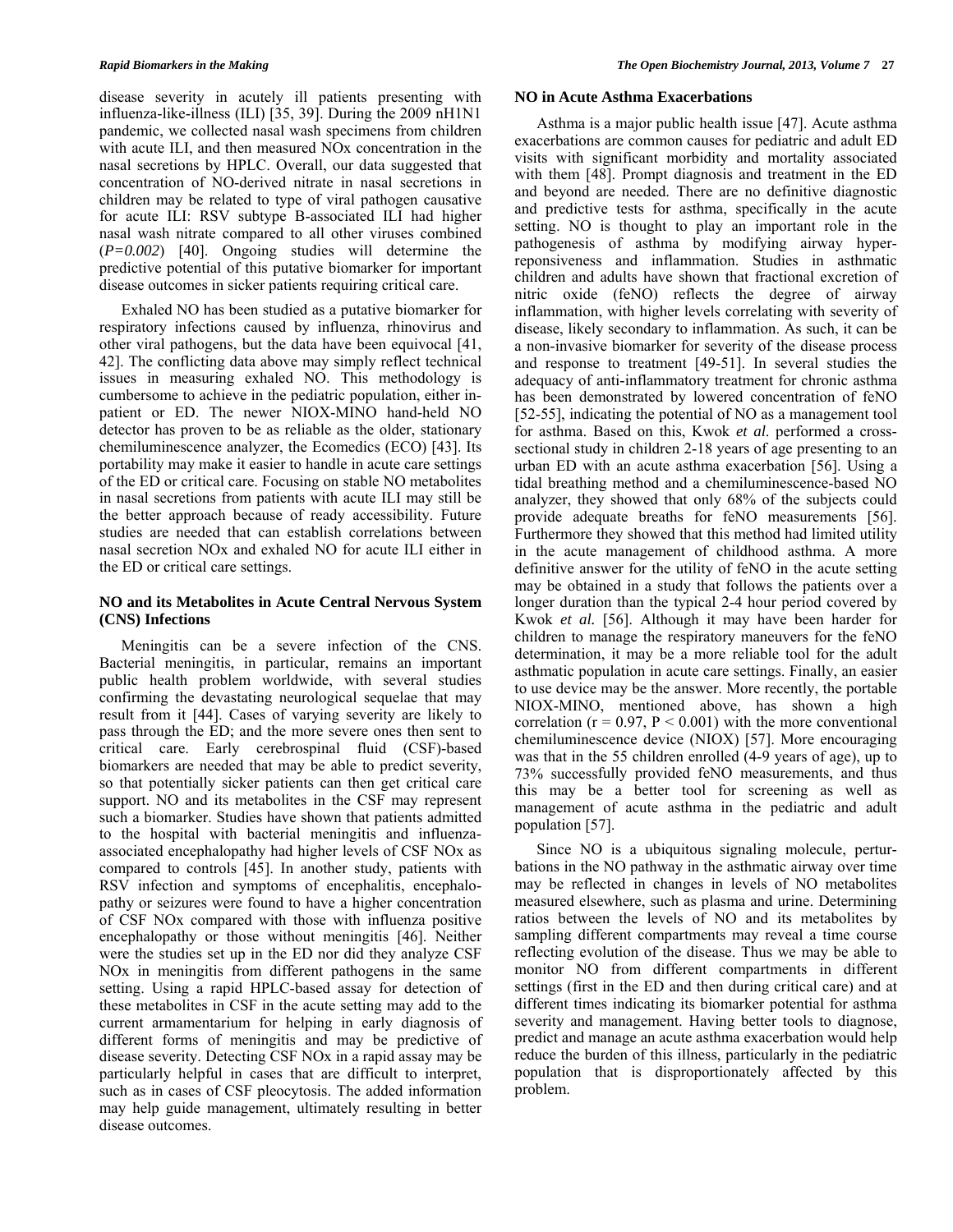disease severity in acutely ill patients presenting with influenza-like-illness (ILI) [35, 39]. During the 2009 nH1N1 pandemic, we collected nasal wash specimens from children with acute ILI, and then measured NOx concentration in the nasal secretions by HPLC. Overall, our data suggested that concentration of NO-derived nitrate in nasal secretions in children may be related to type of viral pathogen causative for acute ILI: RSV subtype B-associated ILI had higher nasal wash nitrate compared to all other viruses combined (*P=0.002*) [40]. Ongoing studies will determine the predictive potential of this putative biomarker for important disease outcomes in sicker patients requiring critical care.

 Exhaled NO has been studied as a putative biomarker for respiratory infections caused by influenza, rhinovirus and other viral pathogens, but the data have been equivocal [41, 42]. The conflicting data above may simply reflect technical issues in measuring exhaled NO. This methodology is cumbersome to achieve in the pediatric population, either inpatient or ED. The newer NIOX-MINO hand-held NO detector has proven to be as reliable as the older, stationary chemiluminescence analyzer, the Ecomedics (ECO) [43]. Its portability may make it easier to handle in acute care settings of the ED or critical care. Focusing on stable NO metabolites in nasal secretions from patients with acute ILI may still be the better approach because of ready accessibility. Future studies are needed that can establish correlations between nasal secretion NOx and exhaled NO for acute ILI either in the ED or critical care settings.

# **NO and its Metabolites in Acute Central Nervous System (CNS) Infections**

 Meningitis can be a severe infection of the CNS. Bacterial meningitis, in particular, remains an important public health problem worldwide, with several studies confirming the devastating neurological sequelae that may result from it [44]. Cases of varying severity are likely to pass through the ED; and the more severe ones then sent to critical care. Early cerebrospinal fluid (CSF)-based biomarkers are needed that may be able to predict severity, so that potentially sicker patients can then get critical care support. NO and its metabolites in the CSF may represent such a biomarker. Studies have shown that patients admitted to the hospital with bacterial meningitis and influenzaassociated encephalopathy had higher levels of CSF NOx as compared to controls [45]. In another study, patients with RSV infection and symptoms of encephalitis, encephalopathy or seizures were found to have a higher concentration of CSF NOx compared with those with influenza positive encephalopathy or those without meningitis [46]. Neither were the studies set up in the ED nor did they analyze CSF NOx in meningitis from different pathogens in the same setting. Using a rapid HPLC-based assay for detection of these metabolites in CSF in the acute setting may add to the current armamentarium for helping in early diagnosis of different forms of meningitis and may be predictive of disease severity. Detecting CSF NOx in a rapid assay may be particularly helpful in cases that are difficult to interpret, such as in cases of CSF pleocytosis. The added information may help guide management, ultimately resulting in better disease outcomes.

# **NO in Acute Asthma Exacerbations**

 Asthma is a major public health issue [47]. Acute asthma exacerbations are common causes for pediatric and adult ED visits with significant morbidity and mortality associated with them [48]. Prompt diagnosis and treatment in the ED and beyond are needed. There are no definitive diagnostic and predictive tests for asthma, specifically in the acute setting. NO is thought to play an important role in the pathogenesis of asthma by modifying airway hyperreponsiveness and inflammation. Studies in asthmatic children and adults have shown that fractional excretion of nitric oxide (feNO) reflects the degree of airway inflammation, with higher levels correlating with severity of disease, likely secondary to inflammation. As such, it can be a non-invasive biomarker for severity of the disease process and response to treatment [49-51]. In several studies the adequacy of anti-inflammatory treatment for chronic asthma has been demonstrated by lowered concentration of feNO [52-55], indicating the potential of NO as a management tool for asthma. Based on this, Kwok *et al*. performed a crosssectional study in children 2-18 years of age presenting to an urban ED with an acute asthma exacerbation [56]. Using a tidal breathing method and a chemiluminescence-based NO analyzer, they showed that only 68% of the subjects could provide adequate breaths for feNO measurements [56]. Furthermore they showed that this method had limited utility in the acute management of childhood asthma. A more definitive answer for the utility of feNO in the acute setting may be obtained in a study that follows the patients over a longer duration than the typical 2-4 hour period covered by Kwok *et al.* [56]. Although it may have been harder for children to manage the respiratory maneuvers for the feNO determination, it may be a more reliable tool for the adult asthmatic population in acute care settings. Finally, an easier to use device may be the answer. More recently, the portable NIOX-MINO, mentioned above, has shown a high correlation ( $r = 0.97$ ,  $P < 0.001$ ) with the more conventional chemiluminescence device (NIOX) [57]. More encouraging was that in the 55 children enrolled (4-9 years of age), up to 73% successfully provided feNO measurements, and thus this may be a better tool for screening as well as management of acute asthma in the pediatric and adult population [57].

 Since NO is a ubiquitous signaling molecule, perturbations in the NO pathway in the asthmatic airway over time may be reflected in changes in levels of NO metabolites measured elsewhere, such as plasma and urine. Determining ratios between the levels of NO and its metabolites by sampling different compartments may reveal a time course reflecting evolution of the disease. Thus we may be able to monitor NO from different compartments in different settings (first in the ED and then during critical care) and at different times indicating its biomarker potential for asthma severity and management. Having better tools to diagnose, predict and manage an acute asthma exacerbation would help reduce the burden of this illness, particularly in the pediatric population that is disproportionately affected by this problem.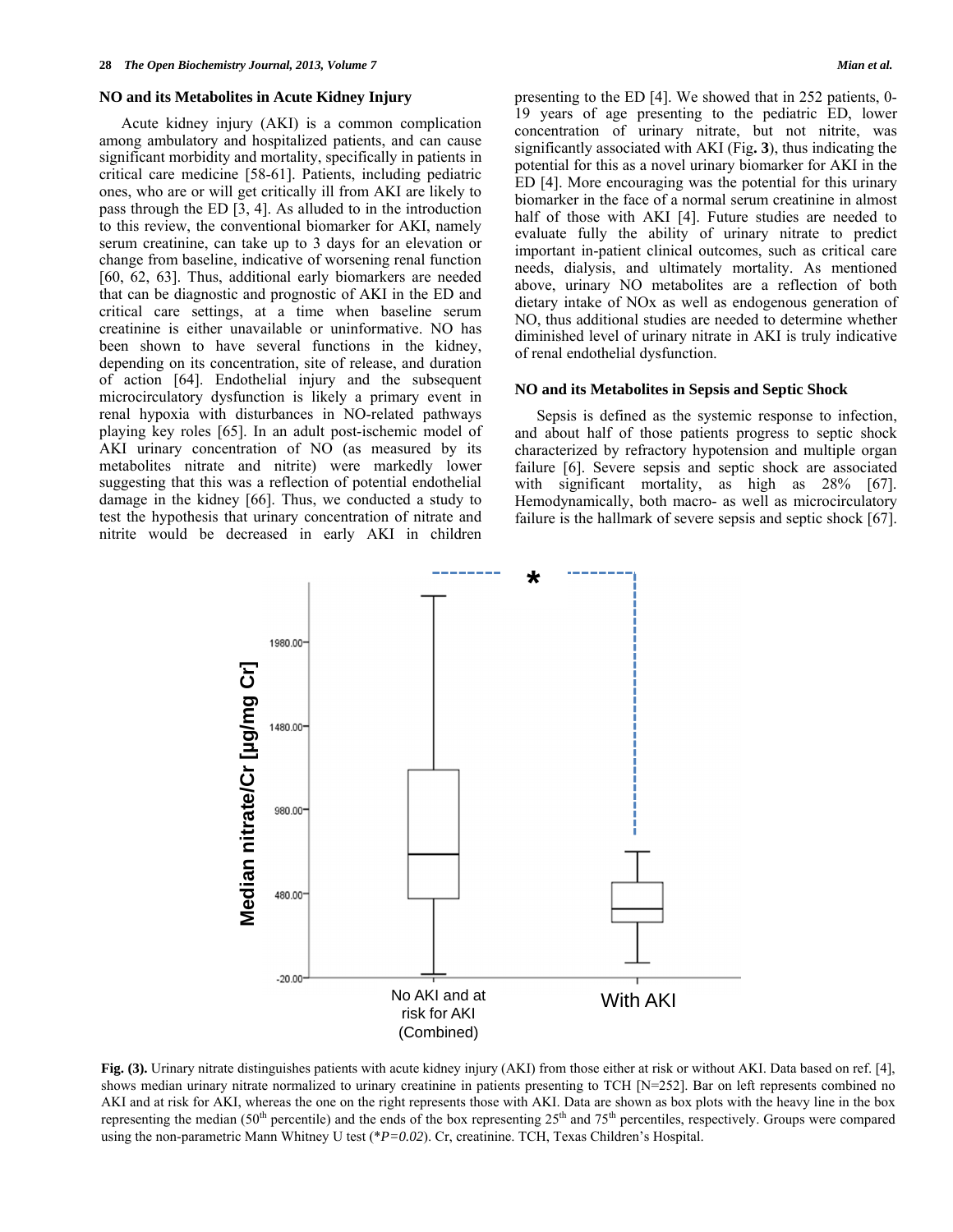#### **NO and its Metabolites in Acute Kidney Injury**

 Acute kidney injury (AKI) is a common complication among ambulatory and hospitalized patients, and can cause significant morbidity and mortality, specifically in patients in critical care medicine [58-61]. Patients, including pediatric ones, who are or will get critically ill from AKI are likely to pass through the ED [3, 4]. As alluded to in the introduction to this review, the conventional biomarker for AKI, namely serum creatinine, can take up to 3 days for an elevation or change from baseline, indicative of worsening renal function [60, 62, 63]. Thus, additional early biomarkers are needed that can be diagnostic and prognostic of AKI in the ED and critical care settings, at a time when baseline serum creatinine is either unavailable or uninformative. NO has been shown to have several functions in the kidney, depending on its concentration, site of release, and duration of action [64]. Endothelial injury and the subsequent microcirculatory dysfunction is likely a primary event in renal hypoxia with disturbances in NO-related pathways playing key roles [65]. In an adult post-ischemic model of AKI urinary concentration of NO (as measured by its metabolites nitrate and nitrite) were markedly lower suggesting that this was a reflection of potential endothelial damage in the kidney [66]. Thus, we conducted a study to test the hypothesis that urinary concentration of nitrate and nitrite would be decreased in early AKI in children presenting to the ED [4]. We showed that in 252 patients, 0- 19 years of age presenting to the pediatric ED, lower concentration of urinary nitrate, but not nitrite, was significantly associated with AKI (Fig**. 3**), thus indicating the potential for this as a novel urinary biomarker for AKI in the ED [4]. More encouraging was the potential for this urinary biomarker in the face of a normal serum creatinine in almost half of those with AKI [4]. Future studies are needed to evaluate fully the ability of urinary nitrate to predict important in-patient clinical outcomes, such as critical care needs, dialysis, and ultimately mortality. As mentioned above, urinary NO metabolites are a reflection of both dietary intake of NOx as well as endogenous generation of NO, thus additional studies are needed to determine whether diminished level of urinary nitrate in AKI is truly indicative of renal endothelial dysfunction.

#### **NO and its Metabolites in Sepsis and Septic Shock**

 Sepsis is defined as the systemic response to infection, and about half of those patients progress to septic shock characterized by refractory hypotension and multiple organ failure [6]. Severe sepsis and septic shock are associated with significant mortality, as high as 28% [67]. Hemodynamically, both macro- as well as microcirculatory failure is the hallmark of severe sepsis and septic shock [67].



**Fig. (3).** Urinary nitrate distinguishes patients with acute kidney injury (AKI) from those either at risk or without AKI. Data based on ref. [4], shows median urinary nitrate normalized to urinary creatinine in patients presenting to TCH [N=252]. Bar on left represents combined no AKI and at risk for AKI, whereas the one on the right represents those with AKI. Data are shown as box plots with the heavy line in the box representing the median (50<sup>th</sup> percentile) and the ends of the box representing 25<sup>th</sup> and 75<sup>th</sup> percentiles, respectively. Groups were compared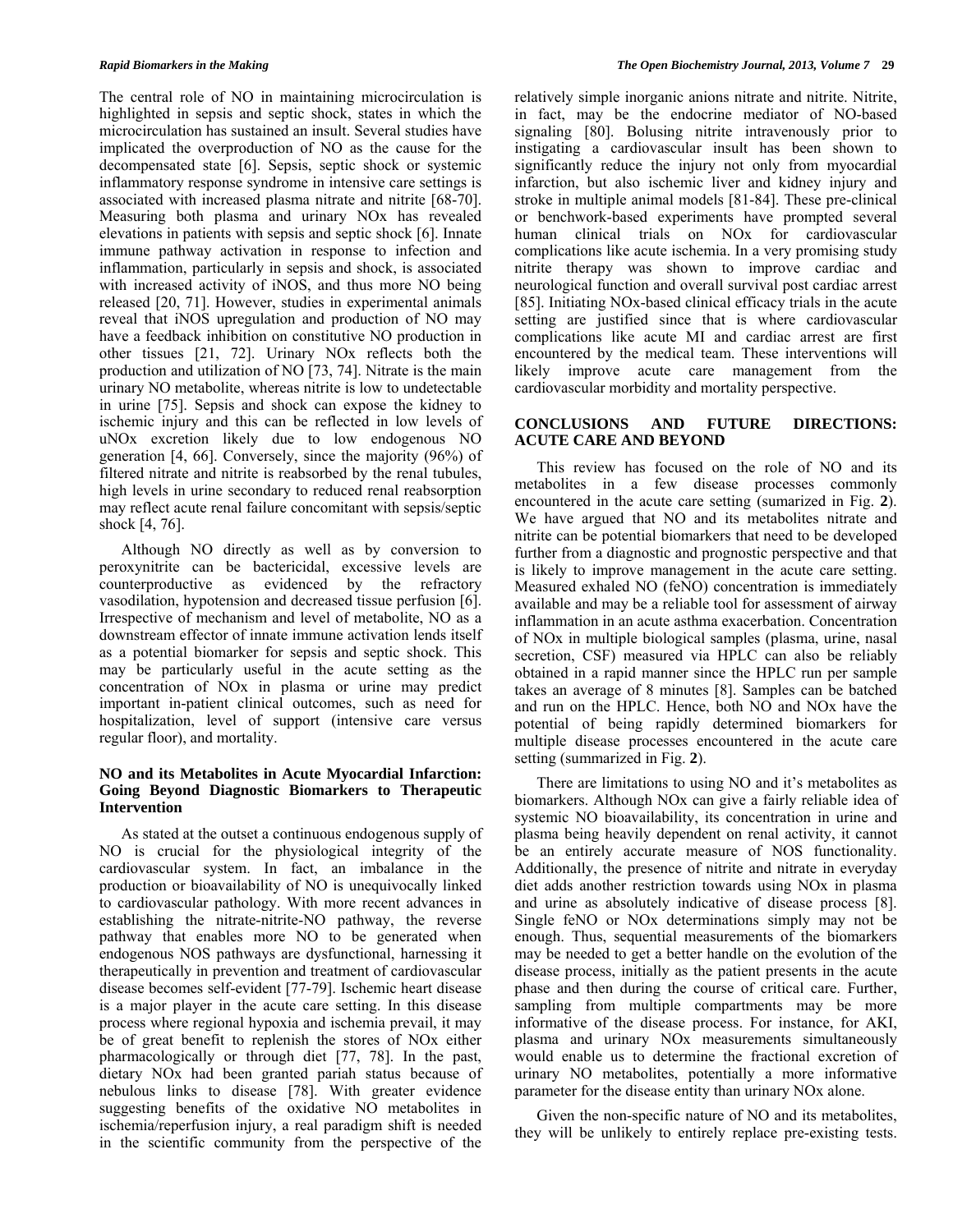The central role of NO in maintaining microcirculation is highlighted in sepsis and septic shock, states in which the microcirculation has sustained an insult. Several studies have implicated the overproduction of NO as the cause for the decompensated state [6]. Sepsis, septic shock or systemic inflammatory response syndrome in intensive care settings is associated with increased plasma nitrate and nitrite [68-70]. Measuring both plasma and urinary NOx has revealed elevations in patients with sepsis and septic shock [6]. Innate immune pathway activation in response to infection and inflammation, particularly in sepsis and shock, is associated with increased activity of iNOS, and thus more NO being released [20, 71]. However, studies in experimental animals reveal that iNOS upregulation and production of NO may have a feedback inhibition on constitutive NO production in other tissues [21, 72]. Urinary NOx reflects both the production and utilization of NO [73, 74]. Nitrate is the main urinary NO metabolite, whereas nitrite is low to undetectable in urine [75]. Sepsis and shock can expose the kidney to ischemic injury and this can be reflected in low levels of uNOx excretion likely due to low endogenous NO generation [4, 66]. Conversely, since the majority (96%) of filtered nitrate and nitrite is reabsorbed by the renal tubules, high levels in urine secondary to reduced renal reabsorption may reflect acute renal failure concomitant with sepsis/septic shock [4, 76].

 Although NO directly as well as by conversion to peroxynitrite can be bactericidal, excessive levels are counterproductive as evidenced by the refractory vasodilation, hypotension and decreased tissue perfusion [6]. Irrespective of mechanism and level of metabolite, NO as a downstream effector of innate immune activation lends itself as a potential biomarker for sepsis and septic shock. This may be particularly useful in the acute setting as the concentration of NOx in plasma or urine may predict important in-patient clinical outcomes, such as need for hospitalization, level of support (intensive care versus regular floor), and mortality.

# **NO and its Metabolites in Acute Myocardial Infarction: Going Beyond Diagnostic Biomarkers to Therapeutic Intervention**

 As stated at the outset a continuous endogenous supply of NO is crucial for the physiological integrity of the cardiovascular system. In fact, an imbalance in the production or bioavailability of NO is unequivocally linked to cardiovascular pathology. With more recent advances in establishing the nitrate-nitrite-NO pathway, the reverse pathway that enables more NO to be generated when endogenous NOS pathways are dysfunctional, harnessing it therapeutically in prevention and treatment of cardiovascular disease becomes self-evident [77-79]. Ischemic heart disease is a major player in the acute care setting. In this disease process where regional hypoxia and ischemia prevail, it may be of great benefit to replenish the stores of NOx either pharmacologically or through diet [77, 78]. In the past, dietary NOx had been granted pariah status because of nebulous links to disease [78]. With greater evidence suggesting benefits of the oxidative NO metabolites in ischemia/reperfusion injury, a real paradigm shift is needed in the scientific community from the perspective of the

relatively simple inorganic anions nitrate and nitrite. Nitrite, in fact, may be the endocrine mediator of NO-based signaling [80]. Bolusing nitrite intravenously prior to instigating a cardiovascular insult has been shown to significantly reduce the injury not only from myocardial infarction, but also ischemic liver and kidney injury and stroke in multiple animal models [81-84]. These pre-clinical or benchwork-based experiments have prompted several human clinical trials on NOx for cardiovascular complications like acute ischemia. In a very promising study nitrite therapy was shown to improve cardiac and neurological function and overall survival post cardiac arrest [85]. Initiating NOx-based clinical efficacy trials in the acute setting are justified since that is where cardiovascular complications like acute MI and cardiac arrest are first encountered by the medical team. These interventions will likely improve acute care management from the cardiovascular morbidity and mortality perspective.

# **CONCLUSIONS AND FUTURE DIRECTIONS: ACUTE CARE AND BEYOND**

 This review has focused on the role of NO and its metabolites in a few disease processes commonly encountered in the acute care setting (sumarized in Fig. **2**). We have argued that NO and its metabolites nitrate and nitrite can be potential biomarkers that need to be developed further from a diagnostic and prognostic perspective and that is likely to improve management in the acute care setting. Measured exhaled NO (feNO) concentration is immediately available and may be a reliable tool for assessment of airway inflammation in an acute asthma exacerbation. Concentration of NOx in multiple biological samples (plasma, urine, nasal secretion, CSF) measured via HPLC can also be reliably obtained in a rapid manner since the HPLC run per sample takes an average of 8 minutes [8]. Samples can be batched and run on the HPLC. Hence, both NO and NOx have the potential of being rapidly determined biomarkers for multiple disease processes encountered in the acute care setting (summarized in Fig. **2**).

 There are limitations to using NO and it's metabolites as biomarkers. Although NOx can give a fairly reliable idea of systemic NO bioavailability, its concentration in urine and plasma being heavily dependent on renal activity, it cannot be an entirely accurate measure of NOS functionality. Additionally, the presence of nitrite and nitrate in everyday diet adds another restriction towards using NOx in plasma and urine as absolutely indicative of disease process [8]. Single feNO or NOx determinations simply may not be enough. Thus, sequential measurements of the biomarkers may be needed to get a better handle on the evolution of the disease process, initially as the patient presents in the acute phase and then during the course of critical care. Further, sampling from multiple compartments may be more informative of the disease process. For instance, for AKI, plasma and urinary NOx measurements simultaneously would enable us to determine the fractional excretion of urinary NO metabolites, potentially a more informative parameter for the disease entity than urinary NOx alone.

 Given the non-specific nature of NO and its metabolites, they will be unlikely to entirely replace pre-existing tests.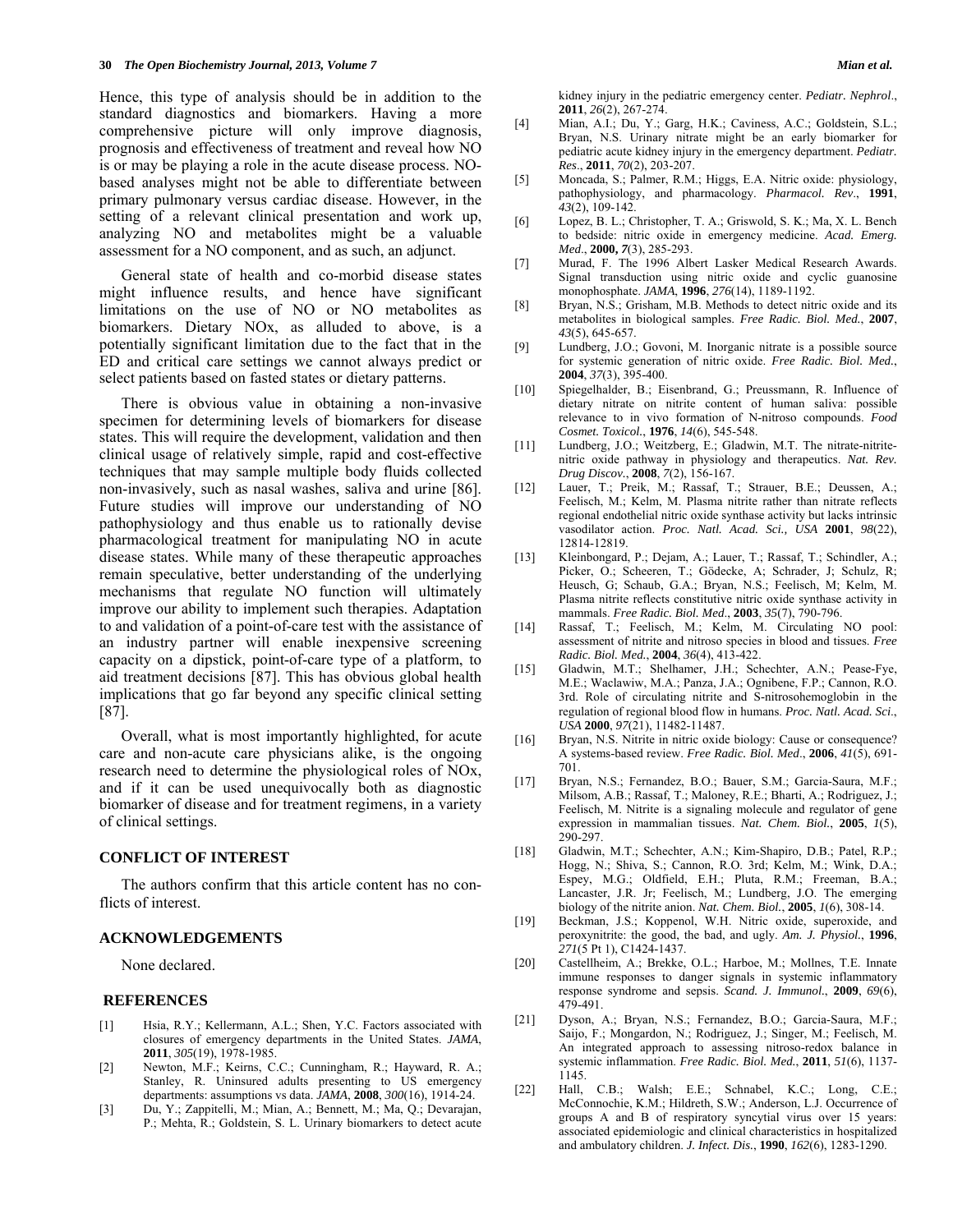Hence, this type of analysis should be in addition to the standard diagnostics and biomarkers. Having a more comprehensive picture will only improve diagnosis, prognosis and effectiveness of treatment and reveal how NO is or may be playing a role in the acute disease process. NObased analyses might not be able to differentiate between primary pulmonary versus cardiac disease. However, in the setting of a relevant clinical presentation and work up, analyzing NO and metabolites might be a valuable assessment for a NO component, and as such, an adjunct.

 General state of health and co-morbid disease states might influence results, and hence have significant limitations on the use of NO or NO metabolites as biomarkers. Dietary NOx, as alluded to above, is a potentially significant limitation due to the fact that in the ED and critical care settings we cannot always predict or select patients based on fasted states or dietary patterns.

 There is obvious value in obtaining a non-invasive specimen for determining levels of biomarkers for disease states. This will require the development, validation and then clinical usage of relatively simple, rapid and cost-effective techniques that may sample multiple body fluids collected non-invasively, such as nasal washes, saliva and urine [86]. Future studies will improve our understanding of NO pathophysiology and thus enable us to rationally devise pharmacological treatment for manipulating NO in acute disease states. While many of these therapeutic approaches remain speculative, better understanding of the underlying mechanisms that regulate NO function will ultimately improve our ability to implement such therapies. Adaptation to and validation of a point-of-care test with the assistance of an industry partner will enable inexpensive screening capacity on a dipstick, point-of-care type of a platform, to aid treatment decisions [87]. This has obvious global health implications that go far beyond any specific clinical setting [87].

 Overall, what is most importantly highlighted, for acute care and non-acute care physicians alike, is the ongoing research need to determine the physiological roles of NOx, and if it can be used unequivocally both as diagnostic biomarker of disease and for treatment regimens, in a variety of clinical settings.

### **CONFLICT OF INTEREST**

 The authors confirm that this article content has no conflicts of interest.

### **ACKNOWLEDGEMENTS**

None declared.

# **REFERENCES**

- [1] Hsia, R.Y.; Kellermann, A.L.; Shen, Y.C. Factors associated with closures of emergency departments in the United States. *JAMA*, **2011**, *305*(19), 1978-1985.
- [2] Newton, M.F.; Keirns, C.C.; Cunningham, R.; Hayward, R. A.; Stanley, R. Uninsured adults presenting to US emergency departments: assumptions vs data. *JAMA*, **2008**, *300*(16), 1914-24.
- [3] Du, Y.; Zappitelli, M.; Mian, A.; Bennett, M.; Ma, Q.; Devarajan, P.; Mehta, R.; Goldstein, S. L. Urinary biomarkers to detect acute

kidney injury in the pediatric emergency center. *Pediatr. Nephrol*., **2011**, *26*(2), 267-274.

- [4] Mian, A.I.; [Du, Y](http://www.ncbi.nlm.nih.gov/pubmed?term=%22Du%20Y%22%5BAuthor%5D).; Garg, H.K.; [Caviness, A.C](http://www.ncbi.nlm.nih.gov/pubmed?term=%22Caviness%20AC%22%5BAuthor%5D).; [Goldstein, S.L](http://www.ncbi.nlm.nih.gov/pubmed?term=%22Goldstein%20SL%22%5BAuthor%5D).; [Bryan, N.S.](http://www.ncbi.nlm.nih.gov/pubmed?term=%22Bryan%20NS%22%5BAuthor%5D) Urinary nitrate might be an early biomarker for pediatric acute kidney injury in the emergency department. *[Pediatr.](http://www.ncbi.nlm.nih.gov/pubmed?term=mian%2C%20asad%20AND%20ED%20AND%20urinary%20biomarkers)  [Res](http://www.ncbi.nlm.nih.gov/pubmed?term=mian%2C%20asad%20AND%20ED%20AND%20urinary%20biomarkers)*., **2011**, *70*(2), 203-207.
- [5] Moncada, S.; Palmer, R.M.; Higgs, E.A. Nitric oxide: physiology, pathophysiology, and pharmacology. *Pharmacol. Rev*., **1991**, *43*(2), 109-142.
- [6] Lopez, B. L.; Christopher, T. A.; Griswold, S. K.; Ma, X. L. Bench to bedside: nitric oxide in emergency medicine. *Acad. Emerg. Med*., **2000,** *7*(3), 285-293.
- [7] Murad, F. The 1996 Albert Lasker Medical Research Awards. Signal transduction using nitric oxide and cyclic guanosine monophosphate. *JAMA*, **1996**, *276*(14), 1189-1192.
- [8] Bryan, N.S.; Grisham, M.B. Methods to detect nitric oxide and its metabolites in biological samples. *Free Radic. Biol. Med.*, **2007**, *43*(5), 645-657.
- [9] Lundberg, J.O.; Govoni, M. Inorganic nitrate is a possible source for systemic generation of nitric oxide. *Free Radic. Biol. Med.*, **2004**, *37*(3), 395-400.
- [10] Spiegelhalder, B.; Eisenbrand, G.; Preussmann, R. Influence of dietary nitrate on nitrite content of human saliva: possible relevance to in vivo formation of N-nitroso compounds. *Food Cosmet. Toxicol.*, **1976**, *14*(6), 545-548.
- [11] Lundberg, J.O.; Weitzberg, E.; Gladwin, M.T. The nitrate-nitritenitric oxide pathway in physiology and therapeutics. *Nat. Rev. Drug Discov.*, **2008**, *7*(2), 156-167.
- [12] Lauer, T.; Preik, M.; [Rassaf, T.](http://www.ncbi.nlm.nih.gov/pubmed?term=%22Rassaf%20T%22%5BAuthor%5D); [Strauer, B.E](http://www.ncbi.nlm.nih.gov/pubmed?term=Strauer%20BE%5BAuthor%5D&cauthor=true&cauthor_uid=11606734).; [Deussen, A](http://www.ncbi.nlm.nih.gov/pubmed?term=Deussen%20A%5BAuthor%5D&cauthor=true&cauthor_uid=11606734).; [Feelisch, M](http://www.ncbi.nlm.nih.gov/pubmed?term=Feelisch%20M%5BAuthor%5D&cauthor=true&cauthor_uid=11606734).; [Kelm, M.](http://www.ncbi.nlm.nih.gov/pubmed?term=Kelm%20M%5BAuthor%5D&cauthor=true&cauthor_uid=11606734) Plasma nitrite rather than nitrate reflects regional endothelial nitric oxide synthase activity but lacks intrinsic vasodilator action. *Proc. Natl. Acad. Sci., USA* **2001**, *98*(22), 12814-12819.
- [13] Kleinbongard, P.; Dejam, A.; [Lauer, T](http://www.ncbi.nlm.nih.gov/pubmed?term=%22Lauer%20T%22%5BAuthor%5D).; [Rassaf, T](http://www.ncbi.nlm.nih.gov/pubmed?term=Rassaf%20T%5BAuthor%5D&cauthor=true&cauthor_uid=14583343).; [Schindler, A](http://www.ncbi.nlm.nih.gov/pubmed?term=Schindler%20A%5BAuthor%5D&cauthor=true&cauthor_uid=14583343).; [Picker, O.](http://www.ncbi.nlm.nih.gov/pubmed?term=Picker%20O%5BAuthor%5D&cauthor=true&cauthor_uid=14583343); [Scheeren, T.](http://www.ncbi.nlm.nih.gov/pubmed?term=Scheeren%20T%5BAuthor%5D&cauthor=true&cauthor_uid=14583343); [Gödecke, A;](http://www.ncbi.nlm.nih.gov/pubmed?term=G%C3%B6decke%20A%5BAuthor%5D&cauthor=true&cauthor_uid=14583343) [Schrader, J](http://www.ncbi.nlm.nih.gov/pubmed?term=Schrader%20J%5BAuthor%5D&cauthor=true&cauthor_uid=14583343); [Schulz, R](http://www.ncbi.nlm.nih.gov/pubmed?term=Schulz%20R%5BAuthor%5D&cauthor=true&cauthor_uid=14583343); [Heusch, G;](http://www.ncbi.nlm.nih.gov/pubmed?term=Heusch%20G%5BAuthor%5D&cauthor=true&cauthor_uid=14583343) [Schaub, G.A.](http://www.ncbi.nlm.nih.gov/pubmed?term=Schaub%20GA%5BAuthor%5D&cauthor=true&cauthor_uid=14583343); [Bryan, N.S.](http://www.ncbi.nlm.nih.gov/pubmed?term=Bryan%20NS%5BAuthor%5D&cauthor=true&cauthor_uid=14583343); [Feelisch, M;](http://www.ncbi.nlm.nih.gov/pubmed?term=Feelisch%20M%5BAuthor%5D&cauthor=true&cauthor_uid=14583343) [Kelm, M.](http://www.ncbi.nlm.nih.gov/pubmed?term=Kelm%20M%5BAuthor%5D&cauthor=true&cauthor_uid=14583343) Plasma nitrite reflects constitutive nitric oxide synthase activity in mammals. *Free Radic. Biol. Med*., **2003**, *35*(7), 790-796.
- [14] Rassaf, T.; Feelisch, M.; Kelm, M. Circulating NO pool: assessment of nitrite and nitroso species in blood and tissues. *Free Radic. Biol. Med.*, **2004**, *36*(4), 413-422.
- [15] Gladwin, M.T.; Shelhamer, J.H.; [Schechter, A.N](http://www.ncbi.nlm.nih.gov/pubmed?term=%22Schechter%20AN%22%5BAuthor%5D).; [Pease-Fye,](http://www.ncbi.nlm.nih.gov/pubmed?term=Pease-Fye%20ME%5BAuthor%5D&cauthor=true&cauthor_uid=11027349)  [M.E](http://www.ncbi.nlm.nih.gov/pubmed?term=Pease-Fye%20ME%5BAuthor%5D&cauthor=true&cauthor_uid=11027349).; [Waclawiw, M.A.](http://www.ncbi.nlm.nih.gov/pubmed?term=Waclawiw%20MA%5BAuthor%5D&cauthor=true&cauthor_uid=11027349); [Panza, J.A](http://www.ncbi.nlm.nih.gov/pubmed?term=Panza%20JA%5BAuthor%5D&cauthor=true&cauthor_uid=11027349).; [Ognibene, F.P.](http://www.ncbi.nlm.nih.gov/pubmed?term=Ognibene%20FP%5BAuthor%5D&cauthor=true&cauthor_uid=11027349); [Cannon, R.O.](http://www.ncbi.nlm.nih.gov/pubmed?term=Cannon%20RO%203rd%5BAuthor%5D&cauthor=true&cauthor_uid=11027349)  [3rd.](http://www.ncbi.nlm.nih.gov/pubmed?term=Cannon%20RO%203rd%5BAuthor%5D&cauthor=true&cauthor_uid=11027349) Role of circulating nitrite and S-nitrosohemoglobin in the regulation of regional blood flow in humans. *Proc. Natl. Acad. Sci*., *USA* **2000**, *97*(21), 11482-11487.
- [16] Bryan, N.S. Nitrite in nitric oxide biology: Cause or consequence? A systems-based review. *Free Radic. Biol. Med*., **2006**, *41*(5), 691- 701.
- [17] Bryan, N.S.; Fernandez, B.O.; [Bauer, S.M.](http://www.ncbi.nlm.nih.gov/pubmed?term=%22Bauer%20SM%22%5BAuthor%5D); [Garcia-Saura, M.F](http://www.ncbi.nlm.nih.gov/pubmed?term=Garcia-Saura%20MF%5BAuthor%5D&cauthor=true&cauthor_uid=16408059).; [Milsom, A.B](http://www.ncbi.nlm.nih.gov/pubmed?term=Milsom%20AB%5BAuthor%5D&cauthor=true&cauthor_uid=16408059).; [Rassaf, T.](http://www.ncbi.nlm.nih.gov/pubmed?term=Rassaf%20T%5BAuthor%5D&cauthor=true&cauthor_uid=16408059); [Maloney, R.E](http://www.ncbi.nlm.nih.gov/pubmed?term=Maloney%20RE%5BAuthor%5D&cauthor=true&cauthor_uid=16408059).; [Bharti, A](http://www.ncbi.nlm.nih.gov/pubmed?term=Bharti%20A%5BAuthor%5D&cauthor=true&cauthor_uid=16408059).; [Rodriguez, J](http://www.ncbi.nlm.nih.gov/pubmed?term=Rodriguez%20J%5BAuthor%5D&cauthor=true&cauthor_uid=16408059).; [Feelisch, M.](http://www.ncbi.nlm.nih.gov/pubmed?term=Feelisch%20M%5BAuthor%5D&cauthor=true&cauthor_uid=16408059) Nitrite is a signaling molecule and regulator of gene expression in mammalian tissues. *Nat. Chem. Biol.*, **2005**, *1*(5), 290-297.
- [18] Gladwin, M.T.; Schechter, A.N.; [Kim-Shapiro, D.B.](http://www.ncbi.nlm.nih.gov/pubmed?term=%22Kim-Shapiro%20DB%22%5BAuthor%5D); [Patel, R.P](http://www.ncbi.nlm.nih.gov/pubmed?term=Patel%20RP%5BAuthor%5D&cauthor=true&cauthor_uid=16408064).; [Hogg, N](http://www.ncbi.nlm.nih.gov/pubmed?term=Hogg%20N%5BAuthor%5D&cauthor=true&cauthor_uid=16408064).; [Shiva, S](http://www.ncbi.nlm.nih.gov/pubmed?term=Shiva%20S%5BAuthor%5D&cauthor=true&cauthor_uid=16408064).; [Cannon, R.O. 3rd;](http://www.ncbi.nlm.nih.gov/pubmed?term=Cannon%20RO%203rd%5BAuthor%5D&cauthor=true&cauthor_uid=16408064) [Kelm, M.](http://www.ncbi.nlm.nih.gov/pubmed?term=Kelm%20M%5BAuthor%5D&cauthor=true&cauthor_uid=16408064); [Wink, D.A](http://www.ncbi.nlm.nih.gov/pubmed?term=Wink%20DA%5BAuthor%5D&cauthor=true&cauthor_uid=16408064).; [Espey, M.G](http://www.ncbi.nlm.nih.gov/pubmed?term=Espey%20MG%5BAuthor%5D&cauthor=true&cauthor_uid=16408064).; [Oldfield, E.H](http://www.ncbi.nlm.nih.gov/pubmed?term=Oldfield%20EH%5BAuthor%5D&cauthor=true&cauthor_uid=16408064).; [Pluta, R.M.](http://www.ncbi.nlm.nih.gov/pubmed?term=Pluta%20RM%5BAuthor%5D&cauthor=true&cauthor_uid=16408064); [Freeman, B.A](http://www.ncbi.nlm.nih.gov/pubmed?term=Freeman%20BA%5BAuthor%5D&cauthor=true&cauthor_uid=16408064).; [Lancaster, J.R. Jr](http://www.ncbi.nlm.nih.gov/pubmed?term=Lancaster%20JR%20Jr%5BAuthor%5D&cauthor=true&cauthor_uid=16408064); [Feelisch, M](http://www.ncbi.nlm.nih.gov/pubmed?term=Feelisch%20M%5BAuthor%5D&cauthor=true&cauthor_uid=16408064).; [Lundberg, J.O](http://www.ncbi.nlm.nih.gov/pubmed?term=Lundberg%20JO%5BAuthor%5D&cauthor=true&cauthor_uid=16408064). The emerging biology of the nitrite anion. *Nat. Chem. Biol.*, **2005**, *1*(6), 308-14.
- [19] Beckman, J.S.; Koppenol, W.H. Nitric oxide, superoxide, and peroxynitrite: the good, the bad, and ugly. *Am. J. Physiol.*, **1996**, *271*(5 Pt 1), C1424-1437.
- [20] Castellheim, A.; [Brekke, O.L](http://www.ncbi.nlm.nih.gov/pubmed?term=%22Brekke%20OL%22%5BAuthor%5D).; Harboe, M.; [Mollnes, T.E](http://www.ncbi.nlm.nih.gov/pubmed?term=%22Mollnes%20TE%22%5BAuthor%5D). Innate immune responses to danger signals in systemic inflammatory response syndrome and sepsis. *Scand. J. Immunol.*, **2009**, *69*(6), 479-491.
- [21] Dyson, A.; Bryan, N.S.; [Fernandez, B.O](http://www.ncbi.nlm.nih.gov/pubmed?term=%22Fernandez%20BO%22%5BAuthor%5D).; [Garcia-Saura, M.F](http://www.ncbi.nlm.nih.gov/pubmed?term=Garcia-Saura%20MF%5BAuthor%5D&cauthor=true&cauthor_uid=21718783).; [Saijo, F.](http://www.ncbi.nlm.nih.gov/pubmed?term=Saijo%20F%5BAuthor%5D&cauthor=true&cauthor_uid=21718783); [Mongardon, N](http://www.ncbi.nlm.nih.gov/pubmed?term=Mongardon%20N%5BAuthor%5D&cauthor=true&cauthor_uid=21718783).; [Rodriguez, J.](http://www.ncbi.nlm.nih.gov/pubmed?term=Rodriguez%20J%5BAuthor%5D&cauthor=true&cauthor_uid=21718783); [Singer, M.](http://www.ncbi.nlm.nih.gov/pubmed?term=Singer%20M%5BAuthor%5D&cauthor=true&cauthor_uid=21718783); [Feelisch, M.](http://www.ncbi.nlm.nih.gov/pubmed?term=Feelisch%20M%5BAuthor%5D&cauthor=true&cauthor_uid=21718783) An integrated approach to assessing nitroso-redox balance in systemic inflammation. *Free Radic. Biol. Med.*, **2011**, *51*(6), 1137- 1145.
- [22] Hall, C.B.; Walsh; E.E.; [Schnabel, K.C](http://www.ncbi.nlm.nih.gov/pubmed?term=%22Schnabel%20KC%22%5BAuthor%5D).; [Long, C.E](http://www.ncbi.nlm.nih.gov/pubmed?term=Long%20CE%5BAuthor%5D&cauthor=true&cauthor_uid=2230258).; [McConnochie, K.M.](http://www.ncbi.nlm.nih.gov/pubmed?term=McConnochie%20KM%5BAuthor%5D&cauthor=true&cauthor_uid=2230258); [Hildreth, S.W.](http://www.ncbi.nlm.nih.gov/pubmed?term=Hildreth%20SW%5BAuthor%5D&cauthor=true&cauthor_uid=2230258); [Anderson, L.J.](http://www.ncbi.nlm.nih.gov/pubmed?term=Anderson%20LJ%5BAuthor%5D&cauthor=true&cauthor_uid=2230258) Occurrence of groups A and B of respiratory syncytial virus over 15 years: associated epidemiologic and clinical characteristics in hospitalized and ambulatory children. *J. Infect. Dis.*, **1990**, *162*(6), 1283-1290.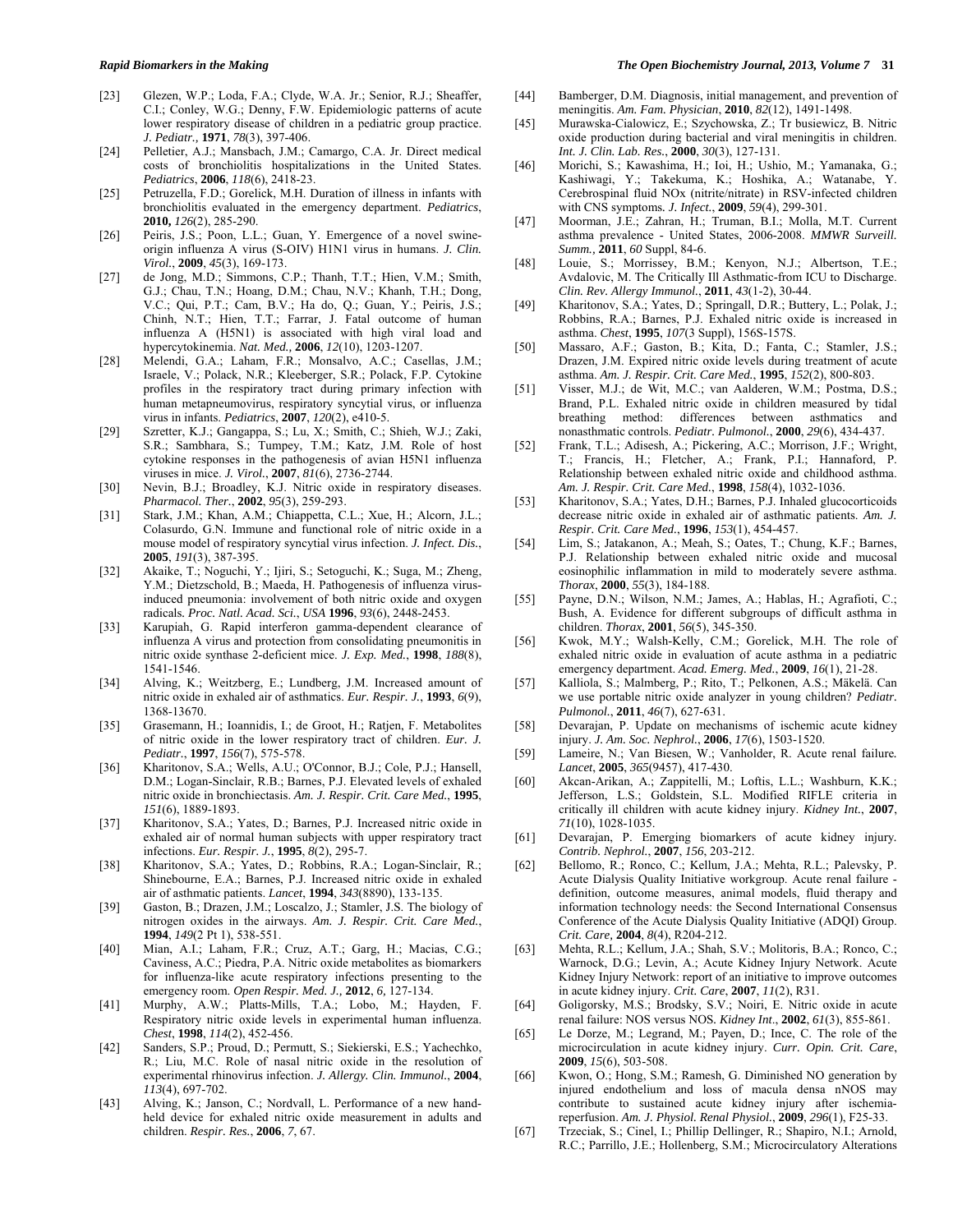- [23] Glezen, W.P.; Loda, F.A.; [Clyde, W.A. Jr](http://www.ncbi.nlm.nih.gov/pubmed?term=%22Clyde%20WA%20Jr%22%5BAuthor%5D).; [Senior, R.J](http://www.ncbi.nlm.nih.gov/pubmed?term=Senior%20RJ%5BAuthor%5D&cauthor=true&cauthor_uid=5101436).; Sheaffer, [C.I](http://www.ncbi.nlm.nih.gov/pubmed?term=Sheaffer%20CI%5BAuthor%5D&cauthor=true&cauthor_uid=5101436).; [Conley, W.G.](http://www.ncbi.nlm.nih.gov/pubmed?term=Conley%20WG%5BAuthor%5D&cauthor=true&cauthor_uid=5101436); [Denny, F.W.](http://www.ncbi.nlm.nih.gov/pubmed?term=Denny%20FW%5BAuthor%5D&cauthor=true&cauthor_uid=5101436) Epidemiologic patterns of acute lower respiratory disease of children in a pediatric group practice. *J. Pediatr.,* **1971**, *78*(3), 397-406.
- [24] Pelletier, A.J.; Mansbach, J.M.; Camargo, C.A. Jr. Direct medical costs of bronchiolitis hospitalizations in the United States. *Pediatrics*, **2006**, *118*(6), 2418-23.
- [25] Petruzella, F.D.; Gorelick, M.H. Duration of illness in infants with bronchiolitis evaluated in the emergency department. *Pediatrics*, **2010,** *126*(2), 285-290.
- [26] Peiris, J.S.; Poon, L.L.; Guan, Y. Emergence of a novel swineorigin influenza A virus (S-OIV) H1N1 virus in humans. *J. Clin. Virol.*, **2009**, *45*(3), 169-173.
- [27] de Jong, M.D.; Simmons, C.P.; [Thanh, T.T.](http://www.ncbi.nlm.nih.gov/pubmed?term=%22Thanh%20TT%22%5BAuthor%5D); [Hien, V.M.](http://www.ncbi.nlm.nih.gov/pubmed?term=Hien%20VM%5BAuthor%5D&cauthor=true&cauthor_uid=16964257); [Smith,](http://www.ncbi.nlm.nih.gov/pubmed?term=Smith%20GJ%5BAuthor%5D&cauthor=true&cauthor_uid=16964257)  [G.J.](http://www.ncbi.nlm.nih.gov/pubmed?term=Smith%20GJ%5BAuthor%5D&cauthor=true&cauthor_uid=16964257); [Chau, T.N.](http://www.ncbi.nlm.nih.gov/pubmed?term=Chau%20TN%5BAuthor%5D&cauthor=true&cauthor_uid=16964257); [Hoang, D.M](http://www.ncbi.nlm.nih.gov/pubmed?term=Hoang%20DM%5BAuthor%5D&cauthor=true&cauthor_uid=16964257).; [Chau, N.V](http://www.ncbi.nlm.nih.gov/pubmed?term=Chau%20NV%5BAuthor%5D&cauthor=true&cauthor_uid=16964257).; [Khanh, T.H](http://www.ncbi.nlm.nih.gov/pubmed?term=Khanh%20TH%5BAuthor%5D&cauthor=true&cauthor_uid=16964257).; [Dong,](http://www.ncbi.nlm.nih.gov/pubmed?term=Dong%20VC%5BAuthor%5D&cauthor=true&cauthor_uid=16964257)  [V.C](http://www.ncbi.nlm.nih.gov/pubmed?term=Dong%20VC%5BAuthor%5D&cauthor=true&cauthor_uid=16964257).; [Qui, P.T.](http://www.ncbi.nlm.nih.gov/pubmed?term=Qui%20PT%5BAuthor%5D&cauthor=true&cauthor_uid=16964257); [Cam, B.V](http://www.ncbi.nlm.nih.gov/pubmed?term=Cam%20BV%5BAuthor%5D&cauthor=true&cauthor_uid=16964257).; [Ha do, Q](http://www.ncbi.nlm.nih.gov/pubmed?term=Ha%20do%20Q%5BAuthor%5D&cauthor=true&cauthor_uid=16964257).; [Guan, Y](http://www.ncbi.nlm.nih.gov/pubmed?term=Guan%20Y%5BAuthor%5D&cauthor=true&cauthor_uid=16964257).; [Peiris, J.S](http://www.ncbi.nlm.nih.gov/pubmed?term=Peiris%20JS%5BAuthor%5D&cauthor=true&cauthor_uid=16964257).; [Chinh, N.T.](http://www.ncbi.nlm.nih.gov/pubmed?term=Chinh%20NT%5BAuthor%5D&cauthor=true&cauthor_uid=16964257); [Hien, T.T](http://www.ncbi.nlm.nih.gov/pubmed?term=Hien%20TT%5BAuthor%5D&cauthor=true&cauthor_uid=16964257).; [Farrar, J.](http://www.ncbi.nlm.nih.gov/pubmed?term=Farrar%20J%5BAuthor%5D&cauthor=true&cauthor_uid=16964257) Fatal outcome of human influenza A (H5N1) is associated with high viral load and hypercytokinemia. *Nat. Med.,* **2006**, *12*(10), 1203-1207.
- [28] Melendi, G.A.; Laham, F.R.; [Monsalvo, A.C](http://www.ncbi.nlm.nih.gov/pubmed?term=%22Monsalvo%20AC%22%5BAuthor%5D).; [Casellas, J.M](http://www.ncbi.nlm.nih.gov/pubmed?term=Casellas%20JM%5BAuthor%5D&cauthor=true&cauthor_uid=17671045).; [Israele, V](http://www.ncbi.nlm.nih.gov/pubmed?term=Israele%20V%5BAuthor%5D&cauthor=true&cauthor_uid=17671045).; [Polack, N.R](http://www.ncbi.nlm.nih.gov/pubmed?term=Polack%20NR%5BAuthor%5D&cauthor=true&cauthor_uid=17671045).; [Kleeberger, S.R](http://www.ncbi.nlm.nih.gov/pubmed?term=Kleeberger%20SR%5BAuthor%5D&cauthor=true&cauthor_uid=17671045).; [Polack, F.P](http://www.ncbi.nlm.nih.gov/pubmed?term=Polack%20FP%5BAuthor%5D&cauthor=true&cauthor_uid=17671045). Cytokine profiles in the respiratory tract during primary infection with human metapneumovirus, respiratory syncytial virus, or influenza virus in infants. *Pediatrics*, **2007**, *120*(2), e410-5.
- [29] Szretter, K.J.; Gangappa, S.; [Lu, X](http://www.ncbi.nlm.nih.gov/pubmed?term=%22Lu%20X%22%5BAuthor%5D).; [Smith, C](http://www.ncbi.nlm.nih.gov/pubmed?term=Smith%20C%5BAuthor%5D&cauthor=true&cauthor_uid=17182684).; [Shieh, W.J.](http://www.ncbi.nlm.nih.gov/pubmed?term=Shieh%20WJ%5BAuthor%5D&cauthor=true&cauthor_uid=17182684); [Zaki,](http://www.ncbi.nlm.nih.gov/pubmed?term=Zaki%20SR%5BAuthor%5D&cauthor=true&cauthor_uid=17182684)  [S.R.](http://www.ncbi.nlm.nih.gov/pubmed?term=Zaki%20SR%5BAuthor%5D&cauthor=true&cauthor_uid=17182684); [Sambhara, S.](http://www.ncbi.nlm.nih.gov/pubmed?term=Sambhara%20S%5BAuthor%5D&cauthor=true&cauthor_uid=17182684); [Tumpey, T.M.](http://www.ncbi.nlm.nih.gov/pubmed?term=Tumpey%20TM%5BAuthor%5D&cauthor=true&cauthor_uid=17182684); [Katz, J.M](http://www.ncbi.nlm.nih.gov/pubmed?term=Katz%20JM%5BAuthor%5D&cauthor=true&cauthor_uid=17182684). Role of host cytokine responses in the pathogenesis of avian H5N1 influenza viruses in mice. *J. Virol.*, **2007**, *81*(6), 2736-2744.
- [30] Nevin, B.J.; Broadley, K.J. Nitric oxide in respiratory diseases. *Pharmacol. Ther.*, **2002**, *95*(3), 259-293.
- [31] Stark, J.M.; [Khan, A.M.](http://www.ncbi.nlm.nih.gov/pubmed?term=%22Khan%20AM%22%5BAuthor%5D); [Chiappetta, C.L.](http://www.ncbi.nlm.nih.gov/pubmed?term=%22Chiappetta%20CL%22%5BAuthor%5D); [Xue, H.](http://www.ncbi.nlm.nih.gov/pubmed?term=%22Xue%20H%22%5BAuthor%5D); [Alcorn, J.L](http://www.ncbi.nlm.nih.gov/pubmed?term=%22Alcorn%20JL%22%5BAuthor%5D).; [Colasurdo, G.N.](http://www.ncbi.nlm.nih.gov/pubmed?term=%22Colasurdo%20GN%22%5BAuthor%5D) Immune and functional role of nitric oxide in a mouse model of respiratory syncytial virus infection. *J. Infect. Dis.*, **2005**, *191*(3), 387-395.
- [32] Akaike, T.; Noguchi, Y.; [Ijiri, S.](http://www.ncbi.nlm.nih.gov/pubmed?term=%22Ijiri%20S%22%5BAuthor%5D); [Setoguchi, K](http://www.ncbi.nlm.nih.gov/pubmed?term=Setoguchi%20K%5BAuthor%5D&cauthor=true&cauthor_uid=8637894).; [Suga, M](http://www.ncbi.nlm.nih.gov/pubmed?term=Suga%20M%5BAuthor%5D&cauthor=true&cauthor_uid=8637894).; [Zheng,](http://www.ncbi.nlm.nih.gov/pubmed?term=Zheng%20YM%5BAuthor%5D&cauthor=true&cauthor_uid=8637894)  [Y.M.](http://www.ncbi.nlm.nih.gov/pubmed?term=Zheng%20YM%5BAuthor%5D&cauthor=true&cauthor_uid=8637894); [Dietzschold, B.](http://www.ncbi.nlm.nih.gov/pubmed?term=Dietzschold%20B%5BAuthor%5D&cauthor=true&cauthor_uid=8637894); [Maeda, H.](http://www.ncbi.nlm.nih.gov/pubmed?term=Maeda%20H%5BAuthor%5D&cauthor=true&cauthor_uid=8637894) Pathogenesis of influenza virusinduced pneumonia: involvement of both nitric oxide and oxygen radicals*. Proc. Natl. Acad. Sci.*, *USA* **1996**, *93*(6), 2448-2453.
- [33] Karupiah, G. Rapid interferon gamma-dependent clearance of influenza A virus and protection from consolidating pneumonitis in nitric oxide synthase 2-deficient mice. *J. Exp. Med.*, **1998**, *188*(8), 1541-1546.
- [34] Alving, K.; Weitzberg, E.; Lundberg, J.M. Increased amount of nitric oxide in exhaled air of asthmatics. *Eur. Respir. J.*, **1993**, *6*(9), 1368-13670.
- [35] Grasemann, H.; Ioannidis, I.; [de Groot, H.](http://www.ncbi.nlm.nih.gov/pubmed?term=%22de%20Groot%20H%22%5BAuthor%5D); [Ratjen, F.](http://www.ncbi.nlm.nih.gov/pubmed?term=%22Ratjen%20F%22%5BAuthor%5D) Metabolites of nitric oxide in the lower respiratory tract of children. *Eur. J. Pediatr.*, **1997**, *156*(7), 575-578.
- [36] Kharitonov, S.A.; Wells, A.U.; [O'Connor, B.J.](http://www.ncbi.nlm.nih.gov/pubmed?term=%22O); [Cole, P.J](http://www.ncbi.nlm.nih.gov/pubmed?term=Cole%20PJ%5BAuthor%5D&cauthor=true&cauthor_uid=7767536).; [Hansell,](http://www.ncbi.nlm.nih.gov/pubmed?term=Hansell%20DM%5BAuthor%5D&cauthor=true&cauthor_uid=7767536)  [D.M.](http://www.ncbi.nlm.nih.gov/pubmed?term=Hansell%20DM%5BAuthor%5D&cauthor=true&cauthor_uid=7767536); [Logan-Sinclair, R.B](http://www.ncbi.nlm.nih.gov/pubmed?term=Logan-Sinclair%20RB%5BAuthor%5D&cauthor=true&cauthor_uid=7767536).; [Barnes, P.J.](http://www.ncbi.nlm.nih.gov/pubmed?term=Barnes%20PJ%5BAuthor%5D&cauthor=true&cauthor_uid=7767536) Elevated levels of exhaled nitric oxide in bronchiectasis. *Am. J. Respir. Crit. Care Med.*, **1995**, *151*(6), 1889-1893.
- [37] Kharitonov, S.A.; Yates, D.; Barnes, P.J. Increased nitric oxide in exhaled air of normal human subjects with upper respiratory tract infections. *Eur. Respir. J.*, **1995**, *8*(2), 295-7.
- [38] Kharitonov, S.A.; [Yates, D](http://www.ncbi.nlm.nih.gov/pubmed?term=%22Yates%20D%22%5BAuthor%5D).; [Robbins, R.A](http://www.ncbi.nlm.nih.gov/pubmed?term=%22Robbins%20RA%22%5BAuthor%5D).; [Logan-Sinclair, R](http://www.ncbi.nlm.nih.gov/pubmed?term=%22Logan-Sinclair%20R%22%5BAuthor%5D).; [Shinebourne, E.A.](http://www.ncbi.nlm.nih.gov/pubmed?term=%22Shinebourne%20EA%22%5BAuthor%5D); [Barnes, P.J.](http://www.ncbi.nlm.nih.gov/pubmed?term=%22Barnes%20PJ%22%5BAuthor%5D) Increased nitric oxide in exhaled air of asthmatic patients. *Lancet*, **1994**, *343*(8890), 133-135.
- [39] Gaston, B.; Drazen, J.M.; [Loscalzo, J.](http://www.ncbi.nlm.nih.gov/pubmed?term=%22Loscalzo%20J%22%5BAuthor%5D); [Stamler, J.S.](http://www.ncbi.nlm.nih.gov/pubmed?term=%22Stamler%20JS%22%5BAuthor%5D) The biology of nitrogen oxides in the airways. *Am. J. Respir. Crit. Care Med.*, **1994**, *149*(2 Pt 1), 538-551.
- [40] Mian, A.I.; Laham, F.R.; Cruz, A.T.; [Garg, H](http://www.ncbi.nlm.nih.gov/pubmed?term=Garg%20H%5BAuthor%5D&cauthor=true&cauthor_uid=23166571).; [Macias, C.G](http://www.ncbi.nlm.nih.gov/pubmed?term=Macias%20CG%5BAuthor%5D&cauthor=true&cauthor_uid=23166571).; [Caviness, A.C](http://www.ncbi.nlm.nih.gov/pubmed?term=Caviness%20AC%5BAuthor%5D&cauthor=true&cauthor_uid=23166571).; [Piedra, P.A](http://www.ncbi.nlm.nih.gov/pubmed?term=Piedra%20PA%5BAuthor%5D&cauthor=true&cauthor_uid=23166571). Nitric oxide metabolites as biomarkers for influenza-like acute respiratory infections presenting to the emergency room. *Open Respir. Med. J.,* **2012**, *6,* 127-134.
- [41] Murphy, A.W.; Platts-Mills, T.A.; [Lobo, M.](http://www.ncbi.nlm.nih.gov/pubmed?term=%22Lobo%20M%22%5BAuthor%5D); [Hayden, F.](http://www.ncbi.nlm.nih.gov/pubmed?term=%22Hayden%20F%22%5BAuthor%5D) Respiratory nitric oxide levels in experimental human influenza. *Chest*, **1998**, *114*(2), 452-456.
- [42] Sanders, S.P.; Pr[oud, D](http://www.ncbi.nlm.nih.gov/pubmed?term=%22Proud%20D%22%5BAuthor%5D).; [Permutt, S](http://www.ncbi.nlm.nih.gov/pubmed?term=%22Permutt%20S%22%5BAuthor%5D).; [Siekierski, E.S.](http://www.ncbi.nlm.nih.gov/pubmed?term=%22Siekierski%20ES%22%5BAuthor%5D); [Yachechko,](http://www.ncbi.nlm.nih.gov/pubmed?term=%22Yachechko%20R%22%5BAuthor%5D)  [R](http://www.ncbi.nlm.nih.gov/pubmed?term=%22Yachechko%20R%22%5BAuthor%5D).; [Liu, M.C](http://www.ncbi.nlm.nih.gov/pubmed?term=%22Liu%20MC%22%5BAuthor%5D). Role of nasal nitric oxide in the resolution of experimental rhinovirus infection. *J. Allergy. Clin. Immunol.*, **2004**, *113*(4), 697-702.
- [43] Alving, K.; Janson, C.; Nordvall, L. Performance of a new handheld device for exhaled nitric oxide measurement in adults and children. *Respir. Res.*, **2006**, *7*, 67.

#### *Rapid Biomarkers in the Making The Open Biochemistry Journal, 2013, Volume 7* **31**

- [44] Bamberger, D.M. Diagnosis, initial management, and prevention of meningitis. *Am. Fam. Physician*, **2010**, *82*(12), 1491-1498.
- [45] Murawska-Cialowicz, E.; Szychowska, Z.; Tr busiewicz, B. Nitric oxide production during bacterial and viral meningitis in children. *Int. J. Clin. Lab. Res.*, **2000**, *30*(3), 127-131.
- [46] Morichi, S.; Kawashima, H.; [Ioi, H.](http://www.ncbi.nlm.nih.gov/pubmed?term=%22Ioi%20H%22%5BAuthor%5D); [Ushio, M](http://www.ncbi.nlm.nih.gov/pubmed?term=Ushio%20M%5BAuthor%5D&cauthor=true&cauthor_uid=19665802).; [Yamanaka, G](http://www.ncbi.nlm.nih.gov/pubmed?term=Yamanaka%20G%5BAuthor%5D&cauthor=true&cauthor_uid=19665802).; [Kashiwagi, Y.](http://www.ncbi.nlm.nih.gov/pubmed?term=Kashiwagi%20Y%5BAuthor%5D&cauthor=true&cauthor_uid=19665802); [Takekuma, K](http://www.ncbi.nlm.nih.gov/pubmed?term=Takekuma%20K%5BAuthor%5D&cauthor=true&cauthor_uid=19665802).; [Hoshika, A.](http://www.ncbi.nlm.nih.gov/pubmed?term=Hoshika%20A%5BAuthor%5D&cauthor=true&cauthor_uid=19665802); [Watanabe, Y.](http://www.ncbi.nlm.nih.gov/pubmed?term=Watanabe%20Y%5BAuthor%5D&cauthor=true&cauthor_uid=19665802) Cerebrospinal fluid NOx (nitrite/nitrate) in RSV-infected children with CNS symptoms*. J. Infect.*, **2009**, *59*(4), 299-301.
- [47] Moorman, J.E.; Zahran, H.; [Truman, B.I.](http://www.ncbi.nlm.nih.gov/pubmed?term=%22Truman%20BI%22%5BAuthor%5D); [Molla, M.T](http://www.ncbi.nlm.nih.gov/pubmed?term=%22Molla%20MT%22%5BAuthor%5D). Current asthma prevalence - United States, 2006-2008. *MMWR Surveill. Summ.,* **2011**, *60* Suppl, 84-6.
- [48] Louie, S.; Morrissey, B.M.; [Kenyon, N.J](http://www.ncbi.nlm.nih.gov/pubmed?term=%22Kenyon%20NJ%22%5BAuthor%5D).; [Albertson, T.E](http://www.ncbi.nlm.nih.gov/pubmed?term=%22Albertson%20TE%22%5BAuthor%5D).; [Avdalovic, M.](http://www.ncbi.nlm.nih.gov/pubmed?term=%22Avdalovic%20M%22%5BAuthor%5D) The Critically Ill Asthmatic-from ICU to Discharge. *Clin. Rev. Allergy Immunol.*, **2011**, *43*(1-2), 30-44.
- [49] Kharitonov, S.A.; Yates, D.; [Springall, D.R](http://www.ncbi.nlm.nih.gov/pubmed?term=%22Springall%20DR%22%5BAuthor%5D).; [Buttery, L](http://www.ncbi.nlm.nih.gov/pubmed?term=Buttery%20L%5BAuthor%5D&cauthor=true&cauthor_uid=7533073).; [Polak, J](http://www.ncbi.nlm.nih.gov/pubmed?term=Polak%20J%5BAuthor%5D&cauthor=true&cauthor_uid=7533073).; [Robbins, R.A.](http://www.ncbi.nlm.nih.gov/pubmed?term=Robbins%20RA%5BAuthor%5D&cauthor=true&cauthor_uid=7533073); [Barnes, P.J.](http://www.ncbi.nlm.nih.gov/pubmed?term=Barnes%20PJ%5BAuthor%5D&cauthor=true&cauthor_uid=7533073) Exhaled nitric oxide is increased in asthma. *Chest*, **1995**, *107*(3 Suppl), 156S-157S.
- [50] Massaro, A.F.; [Gaston, B.](http://www.ncbi.nlm.nih.gov/pubmed?term=%22Gaston%20B%22%5BAuthor%5D); [Kita, D.](http://www.ncbi.nlm.nih.gov/pubmed?term=%22Kita%20D%22%5BAuthor%5D); [Fanta, C](http://www.ncbi.nlm.nih.gov/pubmed?term=%22Fanta%20C%22%5BAuthor%5D).; [Stamler, J.S](http://www.ncbi.nlm.nih.gov/pubmed?term=%22Stamler%20JS%22%5BAuthor%5D).; [Drazen, J.M](http://www.ncbi.nlm.nih.gov/pubmed?term=%22Drazen%20JM%22%5BAuthor%5D). Expired nitric oxide levels during treatment of acute asthma. *Am. J. Respir. Crit. Care Med.*, **1995**, *152*(2), 800-803.
- [51] Visser, M.J.; [de Wit, M.C](http://www.ncbi.nlm.nih.gov/pubmed?term=%22de%20Wit%20MC%22%5BAuthor%5D).; [van Aalderen, W.M](http://www.ncbi.nlm.nih.gov/pubmed?term=%22van%20Aalderen%20WM%22%5BAuthor%5D).; [Postma, D.S](http://www.ncbi.nlm.nih.gov/pubmed?term=%22Postma%20DS%22%5BAuthor%5D).; [Brand, P.L](http://www.ncbi.nlm.nih.gov/pubmed?term=%22Brand%20PL%22%5BAuthor%5D). Exhaled nitric oxide in children measured by tidal breathing method: differences between asthmatics and nonasthmatic controls. *Pediatr. Pulmonol.*, **2000**, *29*(6), 434-437.
- [52] Frank, T.L.; Adisesh, A.; [Pickering, A.C.](http://www.ncbi.nlm.nih.gov/pubmed?term=%22Pickering%20AC%22%5BAuthor%5D); [Morrison, J.F.](http://www.ncbi.nlm.nih.gov/pubmed?term=Morrison%20JF%5BAuthor%5D&cauthor=true&cauthor_uid=9769256); [Wright,](http://www.ncbi.nlm.nih.gov/pubmed?term=Wright%20T%5BAuthor%5D&cauthor=true&cauthor_uid=9769256)  [T](http://www.ncbi.nlm.nih.gov/pubmed?term=Wright%20T%5BAuthor%5D&cauthor=true&cauthor_uid=9769256).; [Francis, H.](http://www.ncbi.nlm.nih.gov/pubmed?term=Francis%20H%5BAuthor%5D&cauthor=true&cauthor_uid=9769256); [Fletcher, A.](http://www.ncbi.nlm.nih.gov/pubmed?term=Fletcher%20A%5BAuthor%5D&cauthor=true&cauthor_uid=9769256); [Frank, P.I](http://www.ncbi.nlm.nih.gov/pubmed?term=Frank%20PI%5BAuthor%5D&cauthor=true&cauthor_uid=9769256).; [Hannaford, P.](http://www.ncbi.nlm.nih.gov/pubmed?term=Hannaford%20P%5BAuthor%5D&cauthor=true&cauthor_uid=9769256) Relationship between exhaled nitric oxide and childhood asthma. *Am. J. Respir. Crit. Care Med.*, **1998**, *158*(4), 1032-1036.
- [53] Kharitonov, S.A.; Yates, D.H.; Barnes, P.J. Inhaled glucocorticoids decrease nitric oxide in exhaled air of asthmatic patients. *Am. J. Respir. Crit. Care Med.*, **1996**, *153*(1), 454-457.
- [54] Lim, S.; Jatakanon, A.; [Meah, S](http://www.ncbi.nlm.nih.gov/pubmed?term=%22Meah%20S%22%5BAuthor%5D).; [Oates, T](http://www.ncbi.nlm.nih.gov/pubmed?term=%22Oates%20T%22%5BAuthor%5D).; [Chung, K.F](http://www.ncbi.nlm.nih.gov/pubmed?term=%22Chung%20KF%22%5BAuthor%5D).; [Barnes,](http://www.ncbi.nlm.nih.gov/pubmed?term=%22Barnes%20PJ%22%5BAuthor%5D)  [P.J.](http://www.ncbi.nlm.nih.gov/pubmed?term=%22Barnes%20PJ%22%5BAuthor%5D) Relationship between exhaled nitric oxide and mucosal eosinophilic inflammation in mild to moderately severe asthma. *Thorax*, **2000**, *55*(3), 184-188.
- [55] Payne, D.N.; [Wilson, N.M.](http://www.ncbi.nlm.nih.gov/pubmed?term=%22Wilson%20NM%22%5BAuthor%5D); [James, A](http://www.ncbi.nlm.nih.gov/pubmed?term=%22James%20A%22%5BAuthor%5D).; [Hablas, H](http://www.ncbi.nlm.nih.gov/pubmed?term=%22Hablas%20H%22%5BAuthor%5D).; [Agrafioti, C](http://www.ncbi.nlm.nih.gov/pubmed?term=%22Agrafioti%20C%22%5BAuthor%5D).; [Bush, A.](http://www.ncbi.nlm.nih.gov/pubmed?term=%22Bush%20A%22%5BAuthor%5D) Evidence for different subgroups of difficult asthma in children. *Thorax*, **2001**, *56*(5), 345-350.
- [56] Kwok, M.Y.; Walsh-Kelly, C.M.; Gorelick, M.H. The role of exhaled nitric oxide in evaluation of acute asthma in a pediatric emergency department. *Acad. Emerg. Med.*, **2009**, *16*(1), 21-28.
- [57] Kalliola, S.; Malmberg, P.; [Rito, T](http://www.ncbi.nlm.nih.gov/pubmed?term=%22Rito%20T%22%5BAuthor%5D).; [Pelkonen, A.S.](http://www.ncbi.nlm.nih.gov/pubmed?term=%22Pelkonen%20AS%22%5BAuthor%5D); [Mäkelä.](http://www.ncbi.nlm.nih.gov/pubmed?term=%22M%C3%A4kel%C3%A4%20MJ%22%5BAuthor%5D) Can we use portable nitric oxide analyzer in young children? *Pediatr. Pulmonol.*, **2011**, *46*(7), 627-631.
- [58] Devarajan, P. Update on mechanisms of ischemic acute kidney injury. *J. Am. Soc. Nephrol.*, **2006**, *17*(6), 1503-1520.
- [59] Lameire, N.; Van Biesen, W.; Vanholder, R. Acute renal failure*. Lancet*, **2005**, *365*(9457), 417-430.
- [60] Akcan-Arikan, A.; [Zappitelli, M](http://www.ncbi.nlm.nih.gov/pubmed?term=%22Zappitelli%20M%22%5BAuthor%5D).; [Loftis, L.L](http://www.ncbi.nlm.nih.gov/pubmed?term=%22Loftis%20LL%22%5BAuthor%5D).; [Washburn, K.K](http://www.ncbi.nlm.nih.gov/pubmed?term=%22Washburn%20KK%22%5BAuthor%5D).; [Jefferson, L.S](http://www.ncbi.nlm.nih.gov/pubmed?term=%22Jefferson%20LS%22%5BAuthor%5D).; [Goldstein, S.L.](http://www.ncbi.nlm.nih.gov/pubmed?term=%22Goldstein%20SL%22%5BAuthor%5D) Modified RIFLE criteria in critically ill children with acute kidney injury. *Kidney Int.*, **2007**, *71*(10), 1028-1035.
- [61] Devarajan, P. Emerging biomarkers of acute kidney injury*. Contrib. Nephrol.*, **2007**, *156*, 203-212.
- [62] Bellomo, R.; [Ronco, C](http://www.ncbi.nlm.nih.gov/pubmed?term=%22Ronco%20C%22%5BAuthor%5D).; [Kellum, J.A](http://www.ncbi.nlm.nih.gov/pubmed?term=%22Kellum%20JA%22%5BAuthor%5D).; [Mehta, R.L.](http://www.ncbi.nlm.nih.gov/pubmed?term=%22Mehta%20RL%22%5BAuthor%5D); [Palevsky, P.](http://www.ncbi.nlm.nih.gov/pubmed?term=%22Palevsky%20P%22%5BAuthor%5D) [Acute Dialysis Quality Initiative workgroup](http://www.ncbi.nlm.nih.gov/pubmed?term=%22Acute%20Dialysis%20Quality%20Initiative%20workgroup%22%5BCorporate%20Author%5D). Acute renal failure definition, outcome measures, animal models, fluid therapy and information technology needs: the Second International Consensus Conference of the Acute Dialysis Quality Initiative (ADQI) Group. *Crit. Care,* **2004**, *8*(4), R204-212.
- [63] Mehta, R.L.; Kellum, J.A.; [Shah, S.V](http://www.ncbi.nlm.nih.gov/pubmed?term=%22Shah%20SV%22%5BAuthor%5D).; [Molitoris, B.A](http://www.ncbi.nlm.nih.gov/pubmed?term=Molitoris%20BA%5BAuthor%5D&cauthor=true&cauthor_uid=17331245).; [Ronco, C](http://www.ncbi.nlm.nih.gov/pubmed?term=Ronco%20C%5BAuthor%5D&cauthor=true&cauthor_uid=17331245).; [Warnock, D.G](http://www.ncbi.nlm.nih.gov/pubmed?term=Warnock%20DG%5BAuthor%5D&cauthor=true&cauthor_uid=17331245).; [Levin, A.](http://www.ncbi.nlm.nih.gov/pubmed?term=Levin%20A%5BAuthor%5D&cauthor=true&cauthor_uid=17331245); [Acute Kidney Injury Network](http://www.ncbi.nlm.nih.gov/pubmed?term=Acute%20Kidney%20Injury%20Network%5BCorporate%20Author%5D). Acute Kidney Injury Network: report of an initiative to improve outcomes in acute kidney injury. *Crit. Care*, **2007**, *11*(2), R31.
- [64] Goligorsky, M.S.; Brodsky, S.V.; Noiri, E. Nitric oxide in acute renal failure: NOS versus NOS*. Kidney Int*., **2002**, *61*(3), 855-861.
- [65] Le Dorze, M.; Legrand, M.; [Payen, D.](http://www.ncbi.nlm.nih.gov/pubmed?term=%22Payen%20D%22%5BAuthor%5D); [Ince, C.](http://www.ncbi.nlm.nih.gov/pubmed?term=%22Ince%20C%22%5BAuthor%5D) The role of the microcirculation in acute kidney injury. *Curr. Opin. Crit. Care*, **2009**, *15*(6), 503-508.
- [66] Kwon, O.; Hong, S.M.; Ramesh, G. Diminished NO generation by injured endothelium and loss of macula densa nNOS may contribute to sustained acute kidney injury after ischemiareperfusion. *Am. J. Physiol. Renal Physiol.*, **2009**, *296*(1), F25-33.
- [67] Trzeciak, S.; Cinel, I.; [Phillip Dellinger, R](http://www.ncbi.nlm.nih.gov/pubmed?term=%22Phillip%20Dellinger%20R%22%5BAuthor%5D).; [Shapiro, N.I](http://www.ncbi.nlm.nih.gov/pubmed?term=Shapiro%20NI%5BAuthor%5D&cauthor=true&cauthor_uid=18439194).; Arnold, [R.C.](http://www.ncbi.nlm.nih.gov/pubmed?term=Arnold%20RC%5BAuthor%5D&cauthor=true&cauthor_uid=18439194); [Parrillo, J.E.](http://www.ncbi.nlm.nih.gov/pubmed?term=Parrillo%20JE%5BAuthor%5D&cauthor=true&cauthor_uid=18439194); [Hollenberg, S.M.](http://www.ncbi.nlm.nih.gov/pubmed?term=Hollenberg%20SM%5BAuthor%5D&cauthor=true&cauthor_uid=18439194); [Microcirculatory Alterations](http://www.ncbi.nlm.nih.gov/pubmed?term=Microcirculatory%20Alterations%20in%20Resuscitation%20and%20Shock%20(MARS)%20Investigators%5BCorporate%20Author%5D)